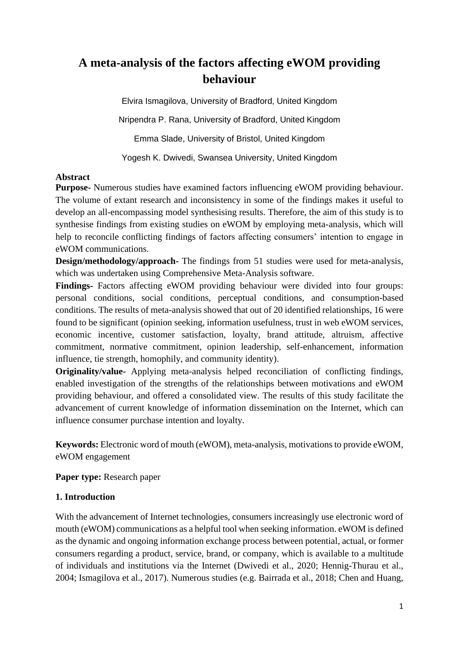# **A meta-analysis of the factors affecting eWOM providing behaviour**

Elvira Ismagilova, University of Bradford, United Kingdom

Nripendra P. Rana, University of Bradford, United Kingdom

Emma Slade, University of Bristol, United Kingdom

Yogesh K. Dwivedi, Swansea University, United Kingdom

### **Abstract**

**Purpose-** Numerous studies have examined factors influencing eWOM providing behaviour. The volume of extant research and inconsistency in some of the findings makes it useful to develop an all-encompassing model synthesising results. Therefore, the aim of this study is to synthesise findings from existing studies on eWOM by employing meta-analysis, which will help to reconcile conflicting findings of factors affecting consumers' intention to engage in eWOM communications.

**Design/methodology/approach-** The findings from 51 studies were used for meta-analysis, which was undertaken using Comprehensive Meta-Analysis software.

**Findings-** Factors affecting eWOM providing behaviour were divided into four groups: personal conditions, social conditions, perceptual conditions, and consumption-based conditions. The results of meta-analysis showed that out of 20 identified relationships, 16 were found to be significant (opinion seeking, information usefulness, trust in web eWOM services, economic incentive, customer satisfaction, loyalty, brand attitude, altruism, affective commitment, normative commitment, opinion leadership, self-enhancement, information influence, tie strength, homophily, and community identity).

**Originality/value-** Applying meta-analysis helped reconciliation of conflicting findings, enabled investigation of the strengths of the relationships between motivations and eWOM providing behaviour, and offered a consolidated view. The results of this study facilitate the advancement of current knowledge of information dissemination on the Internet, which can influence consumer purchase intention and loyalty.

**Keywords:** Electronic word of mouth (eWOM), meta-analysis, motivations to provide eWOM, eWOM engagement

**Paper type:** Research paper

# **1. Introduction**

With the advancement of Internet technologies, consumers increasingly use electronic word of mouth (eWOM) communications as a helpful tool when seeking information. eWOM is defined as the dynamic and ongoing information exchange process between potential, actual, or former consumers regarding a product, service, brand, or company, which is available to a multitude of individuals and institutions via the Internet (Dwivedi et al., 2020; Hennig-Thurau et al., 2004; Ismagilova et al., 2017). Numerous studies (e.g. Bairrada et al., 2018; Chen and Huang,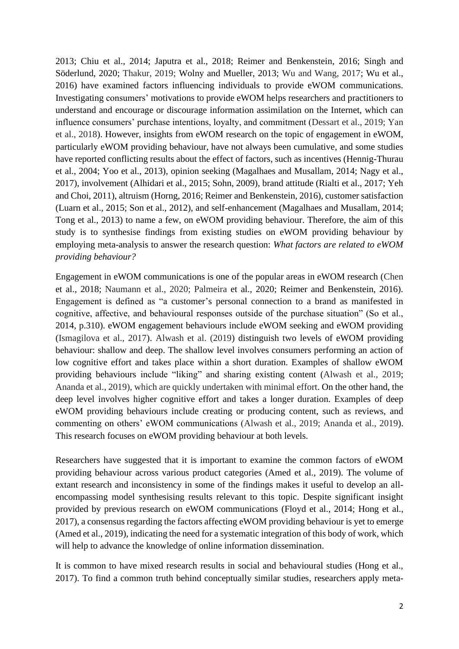2013; Chiu et al., 2014; Japutra et al., 2018; Reimer and Benkenstein, 2016; Singh and Söderlund, 2020; Thakur, 2019; Wolny and Mueller, 2013; Wu and Wang, 2017; Wu et al., 2016) have examined factors influencing individuals to provide eWOM communications. Investigating consumers' motivations to provide eWOM helps researchers and practitioners to understand and encourage or discourage information assimilation on the Internet, which can influence consumers' purchase intentions, loyalty, and commitment (Dessart et al., 2019; Yan et al., 2018). However, insights from eWOM research on the topic of engagement in eWOM, particularly eWOM providing behaviour, have not always been cumulative, and some studies have reported conflicting results about the effect of factors, such as incentives (Hennig-Thurau et al., 2004; Yoo et al., 2013), opinion seeking (Magalhaes and Musallam, 2014; Nagy et al., 2017), involvement (Alhidari et al., 2015; Sohn, 2009), brand attitude (Rialti et al., 2017; Yeh and Choi, 2011), altruism (Horng, 2016; Reimer and Benkenstein, 2016), customer satisfaction (Luarn et al., 2015; Son et al., 2012), and self-enhancement (Magalhaes and Musallam, 2014; Tong et al., 2013) to name a few, on eWOM providing behaviour. Therefore, the aim of this study is to synthesise findings from existing studies on eWOM providing behaviour by employing meta-analysis to answer the research question: *What factors are related to eWOM providing behaviour?*

Engagement in eWOM communications is one of the popular areas in eWOM research (Chen et al., 2018; Naumann et al., 2020; Palmeira et al., 2020; Reimer and Benkenstein, 2016). Engagement is defined as "a customer's personal connection to a brand as manifested in cognitive, affective, and behavioural responses outside of the purchase situation" (So et al., 2014, p.310). eWOM engagement behaviours include eWOM seeking and eWOM providing (Ismagilova et al., 2017). Alwash et al. (2019) distinguish two levels of eWOM providing behaviour: shallow and deep. The shallow level involves consumers performing an action of low cognitive effort and takes place within a short duration. Examples of shallow eWOM providing behaviours include "liking" and sharing existing content (Alwash et al., 2019; Ananda et al., 2019), which are quickly undertaken with minimal effort. On the other hand, the deep level involves higher cognitive effort and takes a longer duration. Examples of deep eWOM providing behaviours include creating or producing content, such as reviews, and commenting on others' eWOM communications (Alwash et al., 2019; Ananda et al., 2019). This research focuses on eWOM providing behaviour at both levels.

Researchers have suggested that it is important to examine the common factors of eWOM providing behaviour across various product categories (Amed et al., 2019). The volume of extant research and inconsistency in some of the findings makes it useful to develop an allencompassing model synthesising results relevant to this topic. Despite significant insight provided by previous research on eWOM communications (Floyd et al., 2014; Hong et al., 2017), a consensus regarding the factors affecting eWOM providing behaviour is yet to emerge (Amed et al., 2019), indicating the need for a systematic integration of this body of work, which will help to advance the knowledge of online information dissemination.

It is common to have mixed research results in social and behavioural studies (Hong et al., 2017). To find a common truth behind conceptually similar studies, researchers apply meta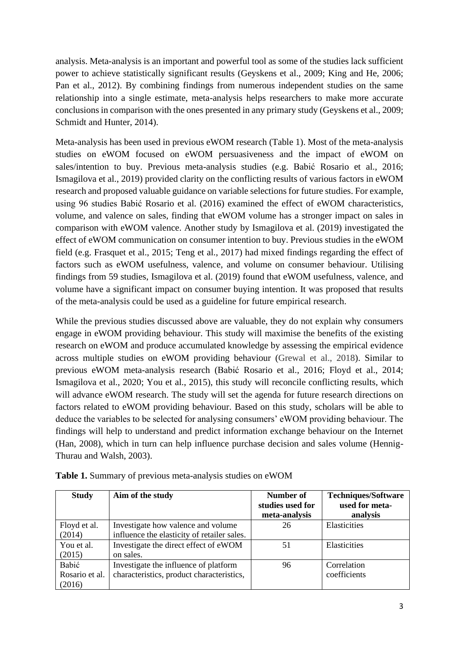analysis. Meta-analysis is an important and powerful tool as some of the studies lack sufficient power to achieve statistically significant results (Geyskens et al., 2009; King and He, 2006; Pan et al., 2012). By combining findings from numerous independent studies on the same relationship into a single estimate, meta-analysis helps researchers to make more accurate conclusions in comparison with the ones presented in any primary study (Geyskens et al., 2009; Schmidt and Hunter, 2014).

Meta-analysis has been used in previous eWOM research (Table 1). Most of the meta-analysis studies on eWOM focused on eWOM persuasiveness and the impact of eWOM on sales/intention to buy. Previous meta-analysis studies (e.g. Babić Rosario et al., 2016; Ismagilova et al., 2019) provided clarity on the conflicting results of various factors in eWOM research and proposed valuable guidance on variable selections for future studies. For example, using 96 studies Babić Rosario et al. (2016) examined the effect of eWOM characteristics, volume, and valence on sales, finding that eWOM volume has a stronger impact on sales in comparison with eWOM valence. Another study by Ismagilova et al. (2019) investigated the effect of eWOM communication on consumer intention to buy. Previous studies in the eWOM field (e.g. Frasquet et al., 2015; Teng et al., 2017) had mixed findings regarding the effect of factors such as eWOM usefulness, valence, and volume on consumer behaviour. Utilising findings from 59 studies, Ismagilova et al. (2019) found that eWOM usefulness, valence, and volume have a significant impact on consumer buying intention. It was proposed that results of the meta-analysis could be used as a guideline for future empirical research.

While the previous studies discussed above are valuable, they do not explain why consumers engage in eWOM providing behaviour. This study will maximise the benefits of the existing research on eWOM and produce accumulated knowledge by assessing the empirical evidence across multiple studies on eWOM providing behaviour (Grewal et al., 2018). Similar to previous eWOM meta-analysis research (Babić Rosario et al., 2016; Floyd et al., 2014; Ismagilova et al., 2020; You et al., 2015), this study will reconcile conflicting results, which will advance eWOM research. The study will set the agenda for future research directions on factors related to eWOM providing behaviour. Based on this study, scholars will be able to deduce the variables to be selected for analysing consumers' eWOM providing behaviour. The findings will help to understand and predict information exchange behaviour on the Internet (Han, 2008), which in turn can help influence purchase decision and sales volume (Hennig-Thurau and Walsh, 2003).

| <b>Study</b>   | Aim of the study                            | Number of<br>studies used for<br>meta-analysis | <b>Techniques/Software</b><br>used for meta-<br>analysis |
|----------------|---------------------------------------------|------------------------------------------------|----------------------------------------------------------|
| Floyd et al.   | Investigate how valence and volume          | 26                                             | Elasticities                                             |
| (2014)         | influence the elasticity of retailer sales. |                                                |                                                          |
| You et al.     | Investigate the direct effect of eWOM       | 51                                             | Elasticities                                             |
| (2015)         | on sales.                                   |                                                |                                                          |
| Babić          | Investigate the influence of platform       | 96                                             | Correlation                                              |
| Rosario et al. | characteristics, product characteristics,   |                                                | coefficients                                             |
| (2016)         |                                             |                                                |                                                          |

**Table 1.** Summary of previous meta-analysis studies on eWOM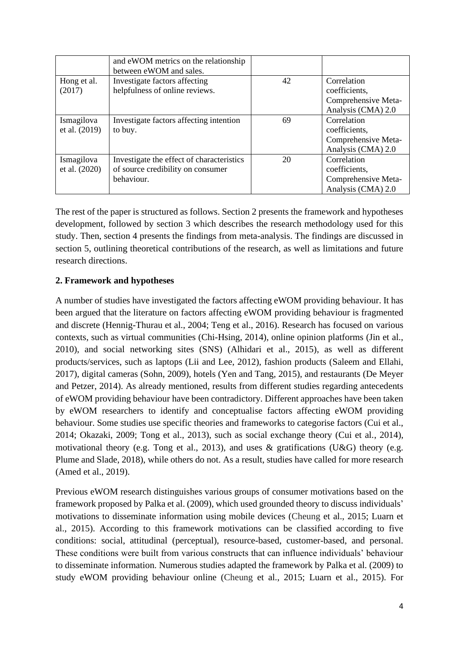|                             | and eWOM metrics on the relationship<br>between eWOM and sales.                              |    |                                                                           |
|-----------------------------|----------------------------------------------------------------------------------------------|----|---------------------------------------------------------------------------|
| Hong et al.<br>(2017)       | Investigate factors affecting<br>helpfulness of online reviews.                              | 42 | Correlation<br>coefficients,<br>Comprehensive Meta-<br>Analysis (CMA) 2.0 |
| Ismagilova<br>et al. (2019) | Investigate factors affecting intention<br>to buy.                                           | 69 | Correlation<br>coefficients,<br>Comprehensive Meta-<br>Analysis (CMA) 2.0 |
| Ismagilova<br>et al. (2020) | Investigate the effect of characteristics<br>of source credibility on consumer<br>behaviour. | 20 | Correlation<br>coefficients,<br>Comprehensive Meta-<br>Analysis (CMA) 2.0 |

The rest of the paper is structured as follows. Section 2 presents the framework and hypotheses development, followed by section 3 which describes the research methodology used for this study. Then, section 4 presents the findings from meta-analysis. The findings are discussed in section 5, outlining theoretical contributions of the research, as well as limitations and future research directions.

# **2. Framework and hypotheses**

A number of studies have investigated the factors affecting eWOM providing behaviour. It has been argued that the literature on factors affecting eWOM providing behaviour is fragmented and discrete (Hennig-Thurau et al., 2004; Teng et al., 2016). Research has focused on various contexts, such as virtual communities (Chi-Hsing, 2014), online opinion platforms (Jin et al., 2010), and social networking sites (SNS) (Alhidari et al., 2015), as well as different products/services, such as laptops (Lii and Lee, 2012), fashion products (Saleem and Ellahi, 2017), digital cameras (Sohn, 2009), hotels (Yen and Tang, 2015), and restaurants (De Meyer and Petzer, 2014). As already mentioned, results from different studies regarding antecedents of eWOM providing behaviour have been contradictory. Different approaches have been taken by eWOM researchers to identify and conceptualise factors affecting eWOM providing behaviour. Some studies use specific theories and frameworks to categorise factors (Cui et al., 2014; Okazaki, 2009; Tong et al., 2013), such as social exchange theory (Cui et al., 2014), motivational theory (e.g. Tong et al., 2013), and uses  $\&$  gratifications (U&G) theory (e.g. Plume and Slade, 2018), while others do not. As a result, studies have called for more research (Amed et al., 2019).

Previous eWOM research distinguishes various groups of consumer motivations based on the framework proposed by Palka et al. (2009), which used grounded theory to discuss individuals' motivations to disseminate information using mobile devices (Cheung et al., 2015; Luarn et al., 2015). According to this framework motivations can be classified according to five conditions: social, attitudinal (perceptual), resource-based, customer-based, and personal. These conditions were built from various constructs that can influence individuals' behaviour to disseminate information. Numerous studies adapted the framework by Palka et al. (2009) to study eWOM providing behaviour online (Cheung et al., 2015; Luarn et al., 2015). For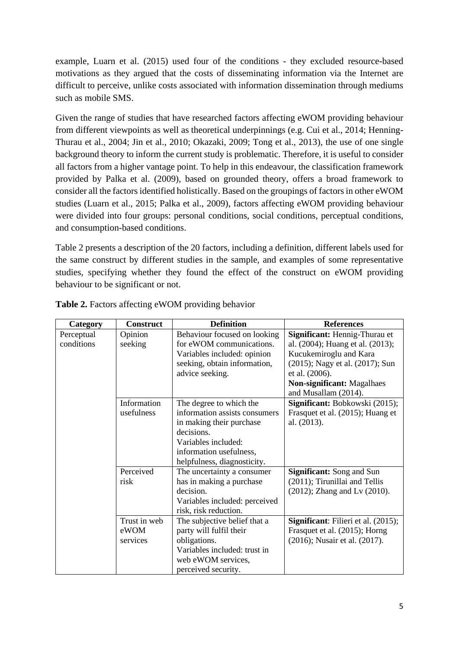example, Luarn et al. (2015) used four of the conditions - they excluded resource-based motivations as they argued that the costs of disseminating information via the Internet are difficult to perceive, unlike costs associated with information dissemination through mediums such as mobile SMS.

Given the range of studies that have researched factors affecting eWOM providing behaviour from different viewpoints as well as theoretical underpinnings (e.g. Cui et al., 2014; Henning-Thurau et al., 2004; Jin et al., 2010; Okazaki, 2009; Tong et al., 2013), the use of one single background theory to inform the current study is problematic. Therefore, it is useful to consider all factors from a higher vantage point. To help in this endeavour, the classification framework provided by Palka et al. (2009), based on grounded theory, offers a broad framework to consider all the factors identified holistically. Based on the groupings of factors in other eWOM studies (Luarn et al., 2015; Palka et al., 2009), factors affecting eWOM providing behaviour were divided into four groups: personal conditions, social conditions, perceptual conditions, and consumption-based conditions.

Table 2 presents a description of the 20 factors, including a definition, different labels used for the same construct by different studies in the sample, and examples of some representative studies, specifying whether they found the effect of the construct on eWOM providing behaviour to be significant or not.

| Category                 | <b>Construct</b>                 | <b>Definition</b>                                                                                                                                            | <b>References</b>                                                                                            |
|--------------------------|----------------------------------|--------------------------------------------------------------------------------------------------------------------------------------------------------------|--------------------------------------------------------------------------------------------------------------|
| Perceptual<br>conditions | Opinion<br>seeking               | Behaviour focused on looking<br>for eWOM communications.<br>Variables included: opinion                                                                      | Significant: Hennig-Thurau et<br>al. (2004); Huang et al. (2013);<br>Kucukemiroglu and Kara                  |
|                          |                                  | seeking, obtain information,<br>advice seeking.                                                                                                              | (2015); Nagy et al. (2017); Sun<br>et al. (2006).                                                            |
|                          |                                  |                                                                                                                                                              | Non-significant: Magalhaes<br>and Musallam (2014).                                                           |
|                          | Information<br>usefulness        | The degree to which the<br>information assists consumers<br>in making their purchase<br>decisions.<br>Variables included:<br>information usefulness,         | <b>Significant:</b> Bobkowski (2015);<br>Frasquet et al. (2015); Huang et<br>al. (2013).                     |
|                          | Perceived<br>risk                | helpfulness, diagnosticity.<br>The uncertainty a consumer<br>has in making a purchase<br>decision.<br>Variables included: perceived<br>risk, risk reduction. | <b>Significant:</b> Song and Sun<br>(2011); Tirunillai and Tellis<br>(2012); Zhang and Lv (2010).            |
|                          | Trust in web<br>eWOM<br>services | The subjective belief that a<br>party will fulfil their<br>obligations.<br>Variables included: trust in<br>web eWOM services,<br>perceived security.         | <b>Significant:</b> Filieri et al. (2015);<br>Frasquet et al. (2015); Horng<br>(2016); Nusair et al. (2017). |

**Table 2.** Factors affecting eWOM providing behavior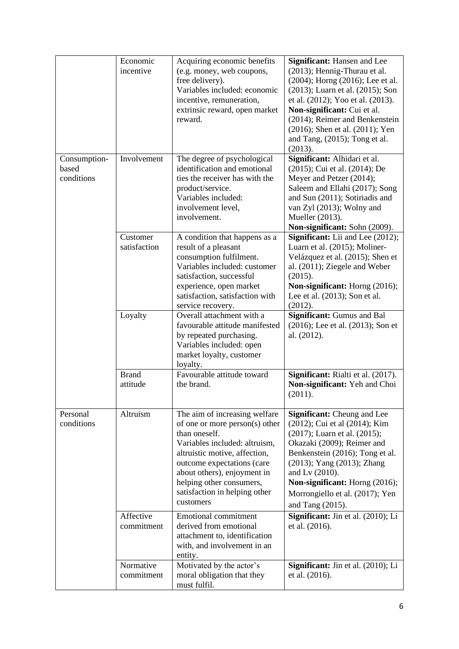|                                     | Economic<br>incentive    | Acquiring economic benefits<br>(e.g. money, web coupons,<br>free delivery).<br>Variables included: economic<br>incentive, remuneration,<br>extrinsic reward, open market<br>reward.                                                                                                       | Significant: Hansen and Lee<br>(2013); Hennig-Thurau et al.<br>(2004); Horng (2016); Lee et al.<br>(2013); Luarn et al. (2015); Son<br>et al. (2012); Yoo et al. (2013).<br>Non-significant: Cui et al.<br>(2014); Reimer and Benkenstein<br>(2016); Shen et al. (2011); Yen<br>and Tang, (2015); Tong et al.<br>(2013). |
|-------------------------------------|--------------------------|-------------------------------------------------------------------------------------------------------------------------------------------------------------------------------------------------------------------------------------------------------------------------------------------|--------------------------------------------------------------------------------------------------------------------------------------------------------------------------------------------------------------------------------------------------------------------------------------------------------------------------|
| Consumption-<br>based<br>conditions | Involvement              | The degree of psychological<br>identification and emotional<br>ties the receiver has with the<br>product/service.<br>Variables included:<br>involvement level,<br>involvement.                                                                                                            | Significant: Alhidari et al.<br>(2015); Cui et al. (2014); De<br>Meyer and Petzer (2014);<br>Saleem and Ellahi (2017); Song<br>and Sun (2011); Sotiriadis and<br>van Zyl (2013); Wolny and<br>Mueller (2013).<br>Non-significant: Sohn (2009).                                                                           |
|                                     | Customer<br>satisfaction | A condition that happens as a<br>result of a pleasant<br>consumption fulfilment.<br>Variables included: customer<br>satisfaction, successful<br>experience, open market<br>satisfaction, satisfaction with<br>service recovery.                                                           | Significant: Lii and Lee (2012);<br>Luarn et al. (2015); Moliner-<br>Velázquez et al. (2015); Shen et<br>al. (2011); Ziegele and Weber<br>(2015).<br>Non-significant: Horng (2016);<br>Lee et al. $(2013)$ ; Son et al.<br>(2012).                                                                                       |
|                                     | Loyalty                  | Overall attachment with a<br>favourable attitude manifested<br>by repeated purchasing.<br>Variables included: open<br>market loyalty, customer<br>loyalty.                                                                                                                                | <b>Significant: Gumus and Bal</b><br>(2016); Lee et al. (2013); Son et<br>al. (2012).                                                                                                                                                                                                                                    |
|                                     | <b>Brand</b><br>attitude | Favourable attitude toward<br>the brand.                                                                                                                                                                                                                                                  | Significant: Rialti et al. (2017).<br>Non-significant: Yeh and Choi<br>(2011).                                                                                                                                                                                                                                           |
| Personal<br>conditions              | Altruism                 | The aim of increasing welfare<br>of one or more person(s) other<br>than oneself.<br>Variables included: altruism,<br>altruistic motive, affection,<br>outcome expectations (care<br>about others), enjoyment in<br>helping other consumers,<br>satisfaction in helping other<br>customers | Significant: Cheung and Lee<br>(2012); Cui et al (2014); Kim<br>(2017); Luarn et al. (2015);<br>Okazaki (2009); Reimer and<br>Benkenstein (2016); Tong et al.<br>(2013); Yang (2013); Zhang<br>and Lv (2010).<br>Non-significant: Horng (2016);<br>Morrongiello et al. (2017); Yen<br>and Tang (2015).                   |
|                                     | Affective<br>commitment  | <b>Emotional commitment</b><br>derived from emotional<br>attachment to, identification<br>with, and involvement in an<br>entity.                                                                                                                                                          | Significant: Jin et al. (2010); Li<br>et al. (2016).                                                                                                                                                                                                                                                                     |
|                                     | Normative<br>commitment  | Motivated by the actor's<br>moral obligation that they<br>must fulfil.                                                                                                                                                                                                                    | Significant: Jin et al. (2010); Li<br>et al. (2016).                                                                                                                                                                                                                                                                     |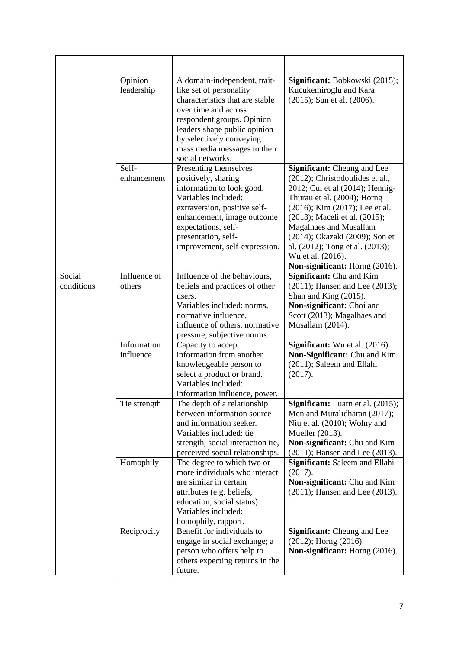|                      | Opinion<br>leadership    | A domain-independent, trait-<br>like set of personality<br>characteristics that are stable<br>over time and across<br>respondent groups. Opinion<br>leaders shape public opinion<br>by selectively conveying<br>mass media messages to their<br>social networks. | Significant: Bobkowski (2015);<br>Kucukemiroglu and Kara<br>(2015); Sun et al. (2006).                                                                                                                                                                                                                                                                                  |
|----------------------|--------------------------|------------------------------------------------------------------------------------------------------------------------------------------------------------------------------------------------------------------------------------------------------------------|-------------------------------------------------------------------------------------------------------------------------------------------------------------------------------------------------------------------------------------------------------------------------------------------------------------------------------------------------------------------------|
|                      | Self-<br>enhancement     | Presenting themselves<br>positively, sharing<br>information to look good.<br>Variables included:<br>extraversion, positive self-<br>enhancement, image outcome<br>expectations, self-<br>presentation, self-<br>improvement, self-expression.                    | <b>Significant:</b> Cheung and Lee<br>(2012); Christodoulides et al.,<br>2012; Cui et al (2014); Hennig-<br>Thurau et al. (2004); Horng<br>(2016); Kim (2017); Lee et al.<br>(2013); Maceli et al. (2015);<br><b>Magalhaes and Musallam</b><br>(2014); Okazaki (2009); Son et<br>al. (2012); Tong et al. (2013);<br>Wu et al. (2016).<br>Non-significant: Horng (2016). |
| Social<br>conditions | Influence of<br>others   | Influence of the behaviours,<br>beliefs and practices of other<br>users.<br>Variables included: norms,<br>normative influence,<br>influence of others, normative<br>pressure, subjective norms.                                                                  | Significant: Chu and Kim<br>$(2011)$ ; Hansen and Lee $(2013)$ ;<br>Shan and King (2015).<br>Non-significant: Choi and<br>Scott (2013); Magalhaes and<br>Musallam (2014).                                                                                                                                                                                               |
|                      | Information<br>influence | Capacity to accept<br>information from another<br>knowledgeable person to<br>select a product or brand.<br>Variables included:<br>information influence, power.                                                                                                  | <b>Significant:</b> Wu et al. (2016).<br>Non-Significant: Chu and Kim<br>(2011); Saleem and Ellahi<br>(2017).                                                                                                                                                                                                                                                           |
|                      | Tie strength             | The depth of a relationship<br>between information source<br>and information seeker.<br>Variables included: tie<br>strength, social interaction tie,<br>perceived social relationships.                                                                          | <b>Significant:</b> Luarn et al. (2015);<br>Men and Muralidharan (2017);<br>Niu et al. (2010); Wolny and<br>Mueller (2013).<br>Non-significant: Chu and Kim<br>(2011); Hansen and Lee (2013).                                                                                                                                                                           |
|                      | Homophily                | The degree to which two or<br>more individuals who interact<br>are similar in certain<br>attributes (e.g. beliefs,<br>education, social status).<br>Variables included:<br>homophily, rapport.                                                                   | Significant: Saleem and Ellahi<br>(2017).<br>Non-significant: Chu and Kim<br>(2011); Hansen and Lee (2013).                                                                                                                                                                                                                                                             |
|                      | Reciprocity              | Benefit for individuals to<br>engage in social exchange; a<br>person who offers help to<br>others expecting returns in the<br>future.                                                                                                                            | Significant: Cheung and Lee<br>$(2012)$ ; Horng $(2016)$ .<br>Non-significant: Horng (2016).                                                                                                                                                                                                                                                                            |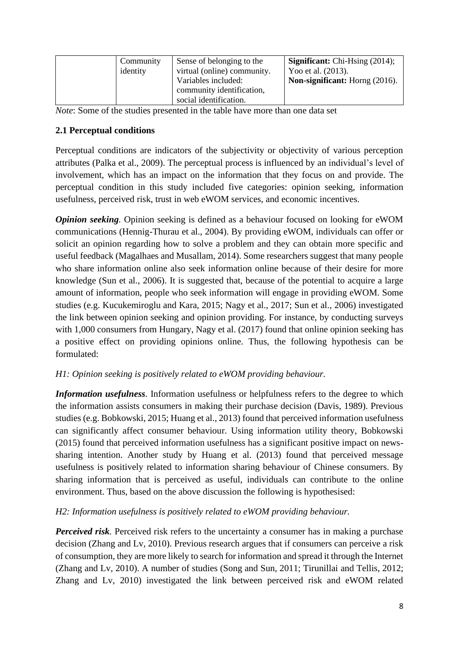| Community | Sense of belonging to the   | <b>Significant:</b> Chi-Hsing $(2014)$ ; |
|-----------|-----------------------------|------------------------------------------|
| identity  | virtual (online) community. | Yoo et al. (2013).                       |
|           | Variables included:         | Non-significant: Horng (2016).           |
|           | community identification,   |                                          |
|           | social identification.      |                                          |

*Note*: Some of the studies presented in the table have more than one data set

### **2.1 Perceptual conditions**

Perceptual conditions are indicators of the subjectivity or objectivity of various perception attributes (Palka et al., 2009). The perceptual process is influenced by an individual's level of involvement, which has an impact on the information that they focus on and provide. The perceptual condition in this study included five categories: opinion seeking, information usefulness, perceived risk, trust in web eWOM services, and economic incentives.

*Opinion seeking.* Opinion seeking is defined as a behaviour focused on looking for eWOM communications (Hennig-Thurau et al., 2004). By providing eWOM, individuals can offer or solicit an opinion regarding how to solve a problem and they can obtain more specific and useful feedback (Magalhaes and Musallam, 2014). Some researchers suggest that many people who share information online also seek information online because of their desire for more knowledge (Sun et al., 2006). It is suggested that, because of the potential to acquire a large amount of information, people who seek information will engage in providing eWOM. Some studies (e.g. Kucukemiroglu and Kara, 2015; Nagy et al., 2017; Sun et al., 2006) investigated the link between opinion seeking and opinion providing. For instance, by conducting surveys with 1,000 consumers from Hungary, Nagy et al. (2017) found that online opinion seeking has a positive effect on providing opinions online. Thus, the following hypothesis can be formulated:

# *H1: Opinion seeking is positively related to eWOM providing behaviour.*

*Information usefulness.* Information usefulness or helpfulness refers to the degree to which the information assists consumers in making their purchase decision (Davis, 1989). Previous studies (e.g. Bobkowski, 2015; Huang et al., 2013) found that perceived information usefulness can significantly affect consumer behaviour. Using information utility theory, Bobkowski (2015) found that perceived information usefulness has a significant positive impact on newssharing intention. Another study by Huang et al. (2013) found that perceived message usefulness is positively related to information sharing behaviour of Chinese consumers. By sharing information that is perceived as useful, individuals can contribute to the online environment. Thus, based on the above discussion the following is hypothesised:

### *H2: Information usefulness is positively related to eWOM providing behaviour.*

*Perceived risk*. Perceived risk refers to the uncertainty a consumer has in making a purchase decision (Zhang and Lv, 2010). Previous research argues that if consumers can perceive a risk of consumption, they are more likely to search for information and spread it through the Internet (Zhang and Lv, 2010). A number of studies (Song and Sun, 2011; Tirunillai and Tellis, 2012; Zhang and Lv, 2010) investigated the link between perceived risk and eWOM related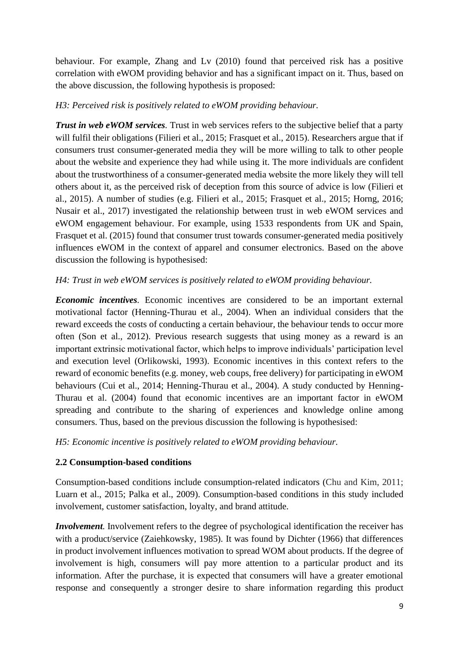behaviour. For example, Zhang and Lv (2010) found that perceived risk has a positive correlation with eWOM providing behavior and has a significant impact on it. Thus, based on the above discussion, the following hypothesis is proposed:

### *H3: Perceived risk is positively related to eWOM providing behaviour.*

*Trust in web eWOM services.* Trust in web services refers to the subjective belief that a party will fulfil their obligations (Filieri et al., 2015; Frasquet et al., 2015). Researchers argue that if consumers trust consumer-generated media they will be more willing to talk to other people about the website and experience they had while using it. The more individuals are confident about the trustworthiness of a consumer-generated media website the more likely they will tell others about it, as the perceived risk of deception from this source of advice is low (Filieri et al., 2015). A number of studies (e.g. Filieri et al., 2015; Frasquet et al., 2015; Horng, 2016; Nusair et al., 2017) investigated the relationship between trust in web eWOM services and eWOM engagement behaviour. For example, using 1533 respondents from UK and Spain, Frasquet et al. (2015) found that consumer trust towards consumer-generated media positively influences eWOM in the context of apparel and consumer electronics. Based on the above discussion the following is hypothesised:

# *H4: Trust in web eWOM services is positively related to eWOM providing behaviour.*

*Economic incentives.* Economic incentives are considered to be an important external motivational factor (Henning-Thurau et al., 2004). When an individual considers that the reward exceeds the costs of conducting a certain behaviour, the behaviour tends to occur more often (Son et al., 2012). Previous research suggests that using money as a reward is an important extrinsic motivational factor, which helps to improve individuals' participation level and execution level (Orlikowski, 1993). Economic incentives in this context refers to the reward of economic benefits (e.g. money, web coups, free delivery) for participating in eWOM behaviours (Cui et al., 2014; Henning-Thurau et al., 2004). A study conducted by Henning-Thurau et al. (2004) found that economic incentives are an important factor in eWOM spreading and contribute to the sharing of experiences and knowledge online among consumers. Thus, based on the previous discussion the following is hypothesised:

*H5: Economic incentive is positively related to eWOM providing behaviour.*

# **2.2 Consumption-based conditions**

Consumption-based conditions include consumption-related indicators (Chu and Kim, 2011; Luarn et al., 2015; Palka et al., 2009). Consumption-based conditions in this study included involvement, customer satisfaction, loyalty, and brand attitude.

*Involvement*. Involvement refers to the degree of psychological identification the receiver has with a product/service (Zaiehkowsky, 1985). It was found by Dichter (1966) that differences in product involvement influences motivation to spread WOM about products. If the degree of involvement is high, consumers will pay more attention to a particular product and its information. After the purchase, it is expected that consumers will have a greater emotional response and consequently a stronger desire to share information regarding this product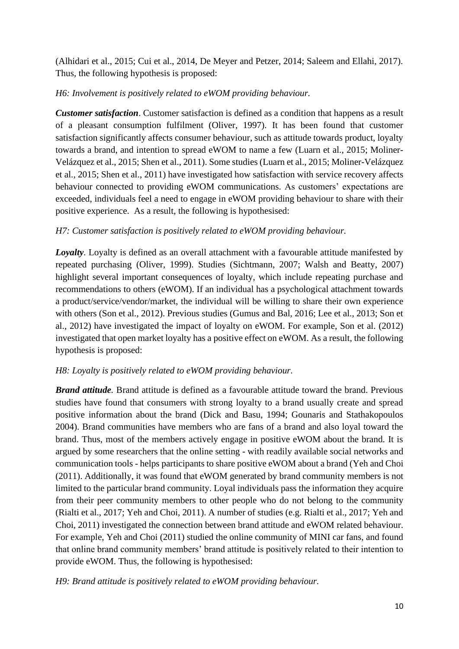(Alhidari et al., 2015; Cui et al., 2014, De Meyer and Petzer, 2014; Saleem and Ellahi, 2017). Thus, the following hypothesis is proposed:

### *H6: Involvement is positively related to eWOM providing behaviour.*

*Customer satisfaction*. Customer satisfaction is defined as a condition that happens as a result of a pleasant consumption fulfilment (Oliver, 1997). It has been found that customer satisfaction significantly affects consumer behaviour, such as attitude towards product, loyalty towards a brand, and intention to spread eWOM to name a few (Luarn et al., 2015; Moliner-Velázquez et al., 2015; Shen et al., 2011). Some studies (Luarn et al., 2015; Moliner-Velázquez et al., 2015; Shen et al., 2011) have investigated how satisfaction with service recovery affects behaviour connected to providing eWOM communications. As customers' expectations are exceeded, individuals feel a need to engage in eWOM providing behaviour to share with their positive experience. As a result, the following is hypothesised:

# *H7: Customer satisfaction is positively related to eWOM providing behaviour.*

*Loyalty.* Loyalty is defined as an overall attachment with a favourable attitude manifested by repeated purchasing (Oliver, 1999). Studies (Sichtmann, 2007; Walsh and Beatty, 2007) highlight several important consequences of loyalty, which include repeating purchase and recommendations to others (eWOM). If an individual has a psychological attachment towards a product/service/vendor/market, the individual will be willing to share their own experience with others (Son et al., 2012). Previous studies (Gumus and Bal, 2016; Lee et al., 2013; Son et al., 2012) have investigated the impact of loyalty on eWOM. For example, Son et al. (2012) investigated that open market loyalty has a positive effect on eWOM. As a result, the following hypothesis is proposed:

### *H8: Loyalty is positively related to eWOM providing behaviour.*

*Brand attitude.* Brand attitude is defined as a favourable attitude toward the brand. Previous studies have found that consumers with strong loyalty to a brand usually create and spread positive information about the brand (Dick and Basu, 1994; Gounaris and Stathakopoulos 2004). Brand communities have members who are fans of a brand and also loyal toward the brand. Thus, most of the members actively engage in positive eWOM about the brand. It is argued by some researchers that the online setting - with readily available social networks and communication tools - helps participants to share positive eWOM about a brand (Yeh and Choi (2011). Additionally, it was found that eWOM generated by brand community members is not limited to the particular brand community. Loyal individuals pass the information they acquire from their peer community members to other people who do not belong to the community (Rialti et al., 2017; Yeh and Choi, 2011). A number of studies (e.g. Rialti et al., 2017; Yeh and Choi, 2011) investigated the connection between brand attitude and eWOM related behaviour. For example, Yeh and Choi (2011) studied the online community of MINI car fans, and found that online brand community members' brand attitude is positively related to their intention to provide eWOM. Thus, the following is hypothesised:

*H9: Brand attitude is positively related to eWOM providing behaviour.*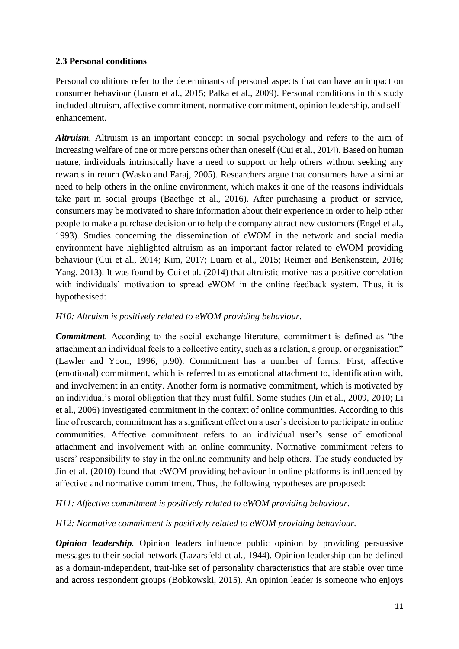### **2.3 Personal conditions**

Personal conditions refer to the determinants of personal aspects that can have an impact on consumer behaviour (Luarn et al., 2015; Palka et al., 2009). Personal conditions in this study included altruism, affective commitment, normative commitment, opinion leadership, and selfenhancement.

*Altruism.* Altruism is an important concept in social psychology and refers to the aim of increasing welfare of one or more persons other than oneself (Cui et al., 2014). Based on human nature, individuals intrinsically have a need to support or help others without seeking any rewards in return (Wasko and Faraj, 2005). Researchers argue that consumers have a similar need to help others in the online environment, which makes it one of the reasons individuals take part in social groups (Baethge et al., 2016). After purchasing a product or service, consumers may be motivated to share information about their experience in order to help other people to make a purchase decision or to help the company attract new customers (Engel et al., 1993). Studies concerning the dissemination of eWOM in the network and social media environment have highlighted altruism as an important factor related to eWOM providing behaviour (Cui et al., 2014; Kim, 2017; Luarn et al., 2015; Reimer and Benkenstein, 2016; Yang, 2013). It was found by Cui et al. (2014) that altruistic motive has a positive correlation with individuals' motivation to spread eWOM in the online feedback system. Thus, it is hypothesised:

### *H10: Altruism is positively related to eWOM providing behaviour.*

*Commitment.* According to the social exchange literature, commitment is defined as "the attachment an individual feels to a collective entity, such as a relation, a group, or organisation" (Lawler and Yoon, 1996, p.90). Commitment has a number of forms. First, affective (emotional) commitment, which is referred to as emotional attachment to, identification with, and involvement in an entity. Another form is normative commitment, which is motivated by an individual's moral obligation that they must fulfil. Some studies (Jin et al., 2009, 2010; Li et al., 2006) investigated commitment in the context of online communities. According to this line of research, commitment has a significant effect on a user's decision to participate in online communities. Affective commitment refers to an individual user's sense of emotional attachment and involvement with an online community. Normative commitment refers to users' responsibility to stay in the online community and help others. The study conducted by Jin et al. (2010) found that eWOM providing behaviour in online platforms is influenced by affective and normative commitment. Thus, the following hypotheses are proposed:

# *H11: Affective commitment is positively related to eWOM providing behaviour.*

### *H12: Normative commitment is positively related to eWOM providing behaviour.*

*Opinion leadership.* Opinion leaders influence public opinion by providing persuasive messages to their social network (Lazarsfeld et al., 1944). Opinion leadership can be defined as a domain-independent, trait-like set of personality characteristics that are stable over time and across respondent groups (Bobkowski, 2015). An opinion leader is someone who enjoys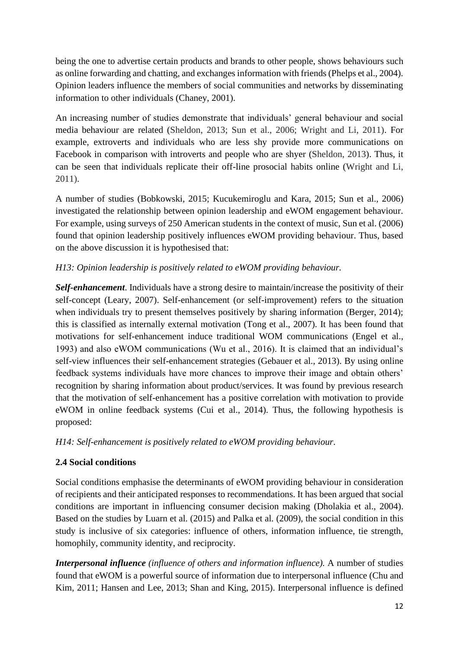being the one to advertise certain products and brands to other people, shows behaviours such as online forwarding and chatting, and exchanges information with friends (Phelps et al., 2004). Opinion leaders influence the members of social communities and networks by disseminating information to other individuals (Chaney, 2001).

An increasing number of studies demonstrate that individuals' general behaviour and social media behaviour are related (Sheldon, 2013; Sun et al., 2006; Wright and Li, 2011). For example, extroverts and individuals who are less shy provide more communications on Facebook in comparison with introverts and people who are shyer (Sheldon, 2013). Thus, it can be seen that individuals replicate their off-line prosocial habits online (Wright and Li, 2011).

A number of studies (Bobkowski, 2015; Kucukemiroglu and Kara, 2015; Sun et al., 2006) investigated the relationship between opinion leadership and eWOM engagement behaviour. For example, using surveys of 250 American students in the context of music, Sun et al. (2006) found that opinion leadership positively influences eWOM providing behaviour. Thus, based on the above discussion it is hypothesised that:

# *H13: Opinion leadership is positively related to eWOM providing behaviour.*

*Self-enhancement*. Individuals have a strong desire to maintain/increase the positivity of their self-concept (Leary, 2007). Self-enhancement (or self-improvement) refers to the situation when individuals try to present themselves positively by sharing information (Berger, 2014); this is classified as internally external motivation (Tong et al., 2007). It has been found that motivations for self-enhancement induce traditional WOM communications (Engel et al., 1993) and also eWOM communications (Wu et al., 2016). It is claimed that an individual's self-view influences their self-enhancement strategies (Gebauer et al., 2013). By using online feedback systems individuals have more chances to improve their image and obtain others' recognition by sharing information about product/services. It was found by previous research that the motivation of self-enhancement has a positive correlation with motivation to provide eWOM in online feedback systems (Cui et al., 2014). Thus, the following hypothesis is proposed:

*H14: Self-enhancement is positively related to eWOM providing behaviour.*

# **2.4 Social conditions**

Social conditions emphasise the determinants of eWOM providing behaviour in consideration of recipients and their anticipated responses to recommendations. It has been argued that social conditions are important in influencing consumer decision making (Dholakia et al., 2004). Based on the studies by Luarn et al. (2015) and Palka et al. (2009), the social condition in this study is inclusive of six categories: influence of others, information influence, tie strength, homophily, community identity, and reciprocity.

*Interpersonal influence (influence of others and information influence).* A number of studies found that eWOM is a powerful source of information due to interpersonal influence (Chu and Kim, 2011; Hansen and Lee, 2013; Shan and King, 2015). Interpersonal influence is defined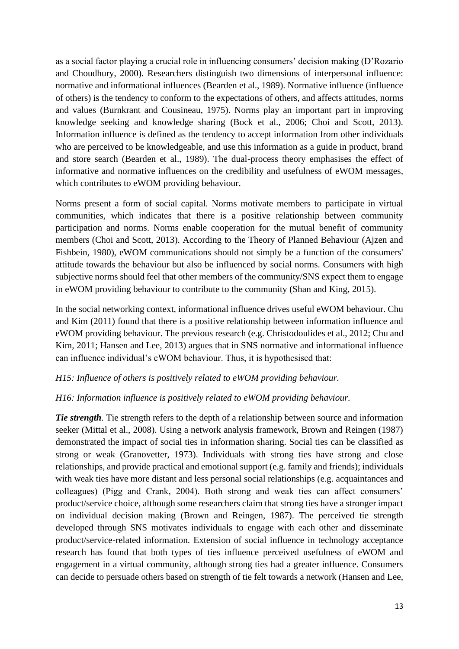as a social factor playing a crucial role in influencing consumers' decision making (D'Rozario and Choudhury, 2000). Researchers distinguish two dimensions of interpersonal influence: normative and informational influences (Bearden et al., 1989). Normative influence (influence of others) is the tendency to conform to the expectations of others, and affects attitudes, norms and values (Burnkrant and Cousineau, 1975). Norms play an important part in improving knowledge seeking and knowledge sharing (Bock et al., 2006; Choi and Scott, 2013). Information influence is defined as the tendency to accept information from other individuals who are perceived to be knowledgeable, and use this information as a guide in product, brand and store search (Bearden et al., 1989). The dual-process theory emphasises the effect of informative and normative influences on the credibility and usefulness of eWOM messages, which contributes to eWOM providing behaviour.

Norms present a form of social capital. Norms motivate members to participate in virtual communities, which indicates that there is a positive relationship between community participation and norms. Norms enable cooperation for the mutual benefit of community members (Choi and Scott, 2013). According to the Theory of Planned Behaviour (Ajzen and Fishbein, 1980), eWOM communications should not simply be a function of the consumers' attitude towards the behaviour but also be influenced by social norms. Consumers with high subjective norms should feel that other members of the community/SNS expect them to engage in eWOM providing behaviour to contribute to the community (Shan and King, 2015).

In the social networking context, informational influence drives useful eWOM behaviour. Chu and Kim (2011) found that there is a positive relationship between information influence and eWOM providing behaviour. The previous research (e.g. Christodoulides et al., 2012; Chu and Kim, 2011; Hansen and Lee, 2013) argues that in SNS normative and informational influence can influence individual's eWOM behaviour. Thus, it is hypothesised that:

### *H15: Influence of others is positively related to eWOM providing behaviour.*

#### *H16: Information influence is positively related to eWOM providing behaviour.*

*Tie strength*. Tie strength refers to the depth of a relationship between source and information seeker (Mittal et al., 2008). Using a network analysis framework, Brown and Reingen (1987) demonstrated the impact of social ties in information sharing. Social ties can be classified as strong or weak (Granovetter, 1973). Individuals with strong ties have strong and close relationships, and provide practical and emotional support (e.g. family and friends); individuals with weak ties have more distant and less personal social relationships (e.g. acquaintances and colleagues) (Pigg and Crank, 2004). Both strong and weak ties can affect consumers' product/service choice, although some researchers claim that strong ties have a stronger impact on individual decision making (Brown and Reingen, 1987). The perceived tie strength developed through SNS motivates individuals to engage with each other and disseminate product/service-related information. Extension of social influence in technology acceptance research has found that both types of ties influence perceived usefulness of eWOM and engagement in a virtual community, although strong ties had a greater influence. Consumers can decide to persuade others based on strength of tie felt towards a network (Hansen and Lee,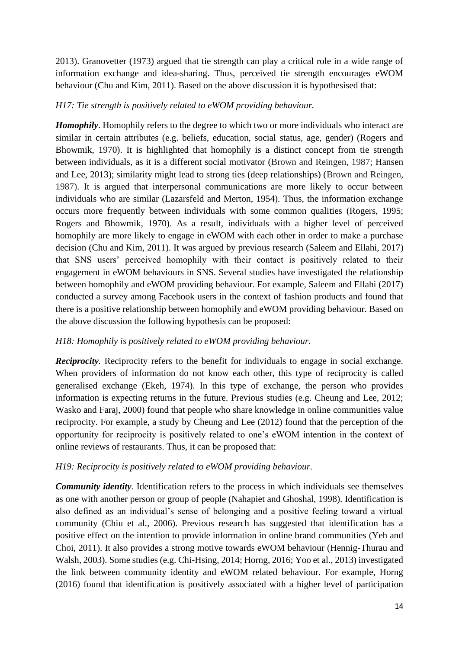2013). Granovetter (1973) argued that tie strength can play a critical role in a wide range of information exchange and idea-sharing. Thus, perceived tie strength encourages eWOM behaviour (Chu and Kim, 2011). Based on the above discussion it is hypothesised that:

### *H17: Tie strength is positively related to eWOM providing behaviour.*

*Homophily*. Homophily refers to the degree to which two or more individuals who interact are similar in certain attributes (e.g. beliefs, education, social status, age, gender) (Rogers and Bhowmik, 1970). It is highlighted that homophily is a distinct concept from tie strength between individuals, as it is a different social motivator (Brown and Reingen, 1987; Hansen and Lee, 2013); similarity might lead to strong ties (deep relationships) (Brown and Reingen, 1987). It is argued that interpersonal communications are more likely to occur between individuals who are similar (Lazarsfeld and Merton, 1954). Thus, the information exchange occurs more frequently between individuals with some common qualities (Rogers, 1995; Rogers and Bhowmik, 1970). As a result, individuals with a higher level of perceived homophily are more likely to engage in eWOM with each other in order to make a purchase decision (Chu and Kim, 2011). It was argued by previous research (Saleem and Ellahi, 2017) that SNS users' perceived homophily with their contact is positively related to their engagement in eWOM behaviours in SNS. Several studies have investigated the relationship between homophily and eWOM providing behaviour. For example, Saleem and Ellahi (2017) conducted a survey among Facebook users in the context of fashion products and found that there is a positive relationship between homophily and eWOM providing behaviour. Based on the above discussion the following hypothesis can be proposed:

# *H18: Homophily is positively related to eWOM providing behaviour.*

*Reciprocity.* Reciprocity refers to the benefit for individuals to engage in social exchange. When providers of information do not know each other, this type of reciprocity is called generalised exchange (Ekeh, 1974). In this type of exchange, the person who provides information is expecting returns in the future. Previous studies (e.g. Cheung and Lee, 2012; Wasko and Faraj, 2000) found that people who share knowledge in online communities value reciprocity. For example, a study by Cheung and Lee (2012) found that the perception of the opportunity for reciprocity is positively related to one's eWOM intention in the context of online reviews of restaurants. Thus, it can be proposed that:

# *H19: Reciprocity is positively related to eWOM providing behaviour.*

*Community identity*. Identification refers to the process in which individuals see themselves as one with another person or group of people (Nahapiet and Ghoshal, 1998). Identification is also defined as an individual's sense of belonging and a positive feeling toward a virtual community (Chiu et al., 2006). Previous research has suggested that identification has a positive effect on the intention to provide information in online brand communities (Yeh and Choi, 2011). It also provides a strong motive towards eWOM behaviour (Hennig-Thurau and Walsh, 2003). Some studies (e.g. Chi-Hsing, 2014; Horng, 2016; Yoo et al., 2013) investigated the link between community identity and eWOM related behaviour. For example, Horng (2016) found that identification is positively associated with a higher level of participation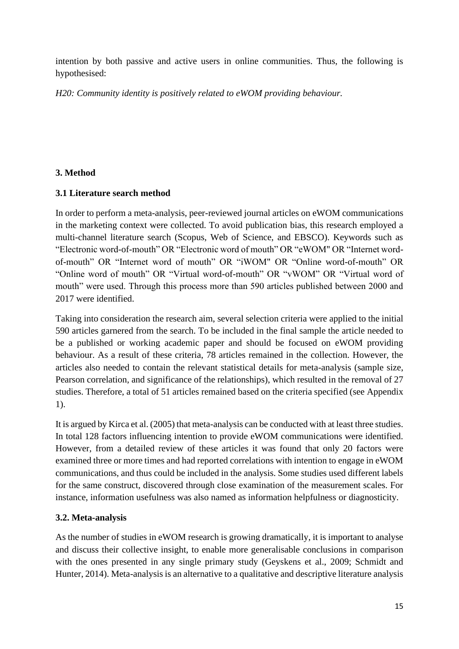intention by both passive and active users in online communities. Thus, the following is hypothesised:

*H20: Community identity is positively related to eWOM providing behaviour.*

# **3. Method**

### **3.1 Literature search method**

In order to perform a meta-analysis, peer-reviewed journal articles on eWOM communications in the marketing context were collected. To avoid publication bias, this research employed a multi-channel literature search (Scopus, Web of Science, and EBSCO). Keywords such as "Electronic word-of-mouth" OR "Electronic word of mouth" OR "eWOM" OR "Internet wordof-mouth" OR "Internet word of mouth" OR "iWOM" OR "Online word-of-mouth" OR "Online word of mouth" OR "Virtual word-of-mouth" OR "vWOM" OR "Virtual word of mouth" were used. Through this process more than 590 articles published between 2000 and 2017 were identified.

Taking into consideration the research aim, several selection criteria were applied to the initial 590 articles garnered from the search. To be included in the final sample the article needed to be a published or working academic paper and should be focused on eWOM providing behaviour. As a result of these criteria, 78 articles remained in the collection. However, the articles also needed to contain the relevant statistical details for meta-analysis (sample size, Pearson correlation, and significance of the relationships), which resulted in the removal of 27 studies. Therefore, a total of 51 articles remained based on the criteria specified (see Appendix 1).

It is argued by Kirca et al. (2005) that meta-analysis can be conducted with at least three studies. In total 128 factors influencing intention to provide eWOM communications were identified. However, from a detailed review of these articles it was found that only 20 factors were examined three or more times and had reported correlations with intention to engage in eWOM communications, and thus could be included in the analysis. Some studies used different labels for the same construct, discovered through close examination of the measurement scales. For instance, information usefulness was also named as information helpfulness or diagnosticity.

# **3.2. Meta-analysis**

As the number of studies in eWOM research is growing dramatically, it is important to analyse and discuss their collective insight, to enable more generalisable conclusions in comparison with the ones presented in any single primary study (Geyskens et al., 2009; Schmidt and Hunter, 2014). Meta-analysis is an alternative to a qualitative and descriptive literature analysis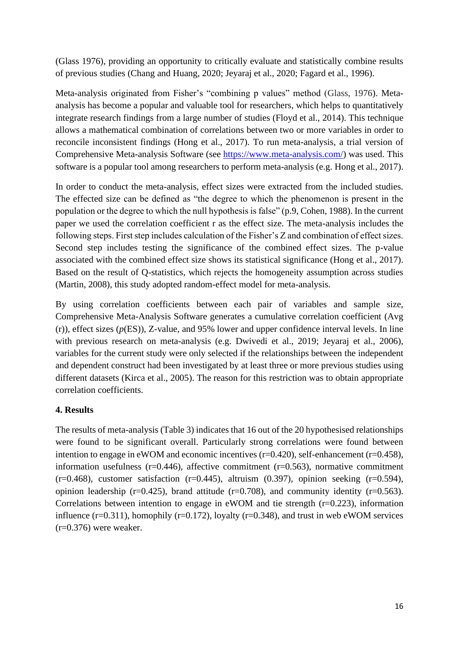(Glass 1976), providing an opportunity to critically evaluate and statistically combine results of previous studies (Chang and Huang, 2020; Jeyaraj et al., 2020; Fagard et al., 1996).

Meta-analysis originated from Fisher's "combining p values" method (Glass, 1976). Metaanalysis has become a popular and valuable tool for researchers, which helps to quantitatively integrate research findings from a large number of studies (Floyd et al., 2014). This technique allows a mathematical combination of correlations between two or more variables in order to reconcile inconsistent findings (Hong et al., 2017). To run meta-analysis, a trial version of Comprehensive Meta-analysis Software (see [https://www.meta-analysis.com/\)](https://www.meta-analysis.com/) was used. This software is a popular tool among researchers to perform meta-analysis (e.g. Hong et al., 2017).

In order to conduct the meta-analysis, effect sizes were extracted from the included studies. The effected size can be defined as "the degree to which the phenomenon is present in the population or the degree to which the null hypothesis is false" (p.9, Cohen, 1988). In the current paper we used the correlation coefficient r as the effect size. The meta-analysis includes the following steps. First step includes calculation of the Fisher's Z and combination of effect sizes. Second step includes testing the significance of the combined effect sizes. The p-value associated with the combined effect size shows its statistical significance (Hong et al., 2017). Based on the result of Q-statistics, which rejects the homogeneity assumption across studies (Martin, 2008), this study adopted random-effect model for meta-analysis.

By using correlation coefficients between each pair of variables and sample size, Comprehensive Meta-Analysis Software generates a cumulative correlation coefficient (Avg (r)), effect sizes (*p*(ES)), Z-value, and 95% lower and upper confidence interval levels. In line with previous research on meta-analysis (e.g. Dwivedi et al., 2019; Jeyaraj et al., 2006), variables for the current study were only selected if the relationships between the independent and dependent construct had been investigated by at least three or more previous studies using different datasets (Kirca et al., 2005). The reason for this restriction was to obtain appropriate correlation coefficients.

# **4. Results**

The results of meta-analysis (Table 3) indicates that 16 out of the 20 hypothesised relationships were found to be significant overall. Particularly strong correlations were found between intention to engage in eWOM and economic incentives  $(r=0.420)$ , self-enhancement  $(r=0.458)$ , information usefulness  $(r=0.446)$ , affective commitment  $(r=0.563)$ , normative commitment  $(r=0.468)$ , customer satisfaction  $(r=0.445)$ , altruism  $(0.397)$ , opinion seeking  $(r=0.594)$ , opinion leadership ( $r=0.425$ ), brand attitude ( $r=0.708$ ), and community identity ( $r=0.563$ ). Correlations between intention to engage in eWOM and tie strength  $(r=0.223)$ , information influence ( $r=0.311$ ), homophily ( $r=0.172$ ), loyalty ( $r=0.348$ ), and trust in web eWOM services (r=0.376) were weaker.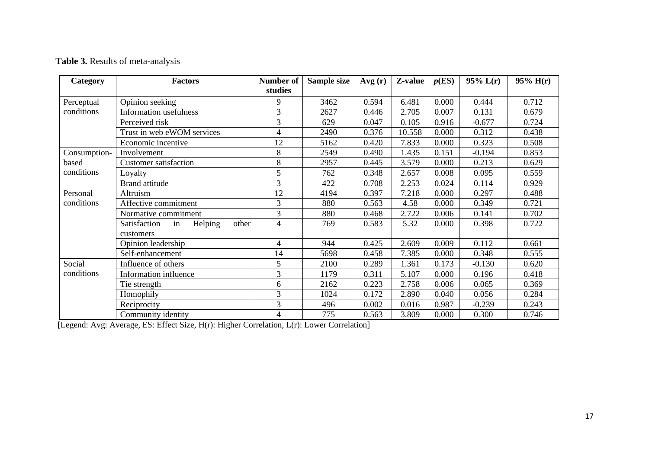# **Table 3.** Results of meta-analysis

| Category     | <b>Factors</b>                         | <b>Number</b> of | Sample size | Avg(r) | Z-value | p(ES) | $95\%$ L(r) | 95% H(r) |
|--------------|----------------------------------------|------------------|-------------|--------|---------|-------|-------------|----------|
|              |                                        | studies          |             |        |         |       |             |          |
| Perceptual   | Opinion seeking                        | 9                | 3462        | 0.594  | 6.481   | 0.000 | 0.444       | 0.712    |
| conditions   | <b>Information</b> usefulness          | 3                | 2627        | 0.446  | 2.705   | 0.007 | 0.131       | 0.679    |
|              | Perceived risk                         | 3                | 629         | 0.047  | 0.105   | 0.916 | $-0.677$    | 0.724    |
|              | Trust in web eWOM services             | 4                | 2490        | 0.376  | 10.558  | 0.000 | 0.312       | 0.438    |
|              | Economic incentive                     | 12               | 5162        | 0.420  | 7.833   | 0.000 | 0.323       | 0.508    |
| Consumption- | Involvement                            | 8                | 2549        | 0.490  | 1.435   | 0.151 | $-0.194$    | 0.853    |
| based        | <b>Customer satisfaction</b>           | 8                | 2957        | 0.445  | 3.579   | 0.000 | 0.213       | 0.629    |
| conditions   | Loyalty                                | 5                | 762         | 0.348  | 2.657   | 0.008 | 0.095       | 0.559    |
|              | <b>Brand attitude</b>                  | 3                | 422         | 0.708  | 2.253   | 0.024 | 0.114       | 0.929    |
| Personal     | Altruism                               | 12               | 4194        | 0.397  | 7.218   | 0.000 | 0.297       | 0.488    |
| conditions   | Affective commitment                   | 3                | 880         | 0.563  | 4.58    | 0.000 | 0.349       | 0.721    |
|              | Normative commitment                   | 3                | 880         | 0.468  | 2.722   | 0.006 | 0.141       | 0.702    |
|              | Helping<br>other<br>Satisfaction<br>in | 4                | 769         | 0.583  | 5.32    | 0.000 | 0.398       | 0.722    |
|              | customers                              |                  |             |        |         |       |             |          |
|              | Opinion leadership                     | 4                | 944         | 0.425  | 2.609   | 0.009 | 0.112       | 0.661    |
|              | Self-enhancement                       | 14               | 5698        | 0.458  | 7.385   | 0.000 | 0.348       | 0.555    |
| Social       | Influence of others                    | 5                | 2100        | 0.289  | 1.361   | 0.173 | $-0.130$    | 0.620    |
| conditions   | Information influence                  | 3                | 1179        | 0.311  | 5.107   | 0.000 | 0.196       | 0.418    |
|              | Tie strength                           | 6                | 2162        | 0.223  | 2.758   | 0.006 | 0.065       | 0.369    |
|              | Homophily                              | $\overline{3}$   | 1024        | 0.172  | 2.890   | 0.040 | 0.056       | 0.284    |
|              | Reciprocity                            | 3                | 496         | 0.002  | 0.016   | 0.987 | $-0.239$    | 0.243    |
|              | Community identity                     | 4                | 775         | 0.563  | 3.809   | 0.000 | 0.300       | 0.746    |

[Legend: Avg: Average, ES: Effect Size, H(r): Higher Correlation, L(r): Lower Correlation]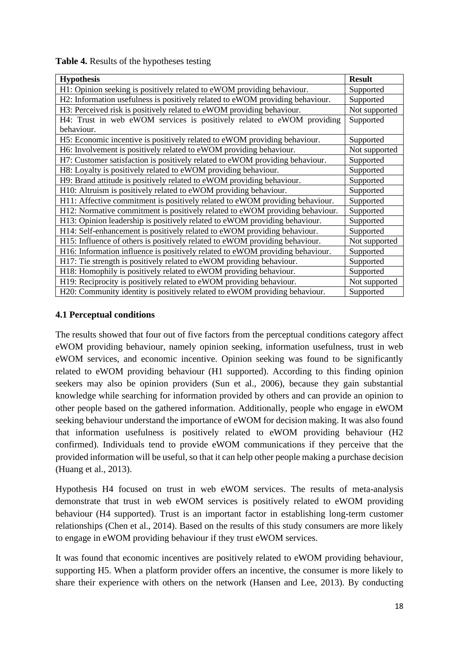**Table 4.** Results of the hypotheses testing

| <b>Hypothesis</b>                                                             | <b>Result</b> |
|-------------------------------------------------------------------------------|---------------|
| H1: Opinion seeking is positively related to eWOM providing behaviour.        | Supported     |
| H2: Information usefulness is positively related to eWOM providing behaviour. | Supported     |
| H3: Perceived risk is positively related to eWOM providing behaviour.         | Not supported |
| H4: Trust in web eWOM services is positively related to eWOM providing        | Supported     |
| behaviour.                                                                    |               |
| H5: Economic incentive is positively related to eWOM providing behaviour.     | Supported     |
| H6: Involvement is positively related to eWOM providing behaviour.            | Not supported |
| H7: Customer satisfaction is positively related to eWOM providing behaviour.  | Supported     |
| H8: Loyalty is positively related to eWOM providing behaviour.                | Supported     |
| H9: Brand attitude is positively related to eWOM providing behaviour.         | Supported     |
| H10: Altruism is positively related to eWOM providing behaviour.              | Supported     |
| H11: Affective commitment is positively related to eWOM providing behaviour.  | Supported     |
| H12: Normative commitment is positively related to eWOM providing behaviour.  | Supported     |
| H13: Opinion leadership is positively related to eWOM providing behaviour.    | Supported     |
| H14: Self-enhancement is positively related to eWOM providing behaviour.      | Supported     |
| H15: Influence of others is positively related to eWOM providing behaviour.   | Not supported |
| H16: Information influence is positively related to eWOM providing behaviour. | Supported     |
| H17: Tie strength is positively related to eWOM providing behaviour.          | Supported     |
| H18: Homophily is positively related to eWOM providing behaviour.             | Supported     |
| H19: Reciprocity is positively related to eWOM providing behaviour.           | Not supported |
| H20: Community identity is positively related to eWOM providing behaviour.    | Supported     |

### **4.1 Perceptual conditions**

The results showed that four out of five factors from the perceptual conditions category affect eWOM providing behaviour, namely opinion seeking, information usefulness, trust in web eWOM services, and economic incentive. Opinion seeking was found to be significantly related to eWOM providing behaviour (H1 supported). According to this finding opinion seekers may also be opinion providers (Sun et al., 2006), because they gain substantial knowledge while searching for information provided by others and can provide an opinion to other people based on the gathered information. Additionally, people who engage in eWOM seeking behaviour understand the importance of eWOM for decision making. It was also found that information usefulness is positively related to eWOM providing behaviour (H2 confirmed). Individuals tend to provide eWOM communications if they perceive that the provided information will be useful, so that it can help other people making a purchase decision (Huang et al., 2013).

Hypothesis H4 focused on trust in web eWOM services. The results of meta-analysis demonstrate that trust in web eWOM services is positively related to eWOM providing behaviour (H4 supported). Trust is an important factor in establishing long-term customer relationships (Chen et al., 2014). Based on the results of this study consumers are more likely to engage in eWOM providing behaviour if they trust eWOM services.

It was found that economic incentives are positively related to eWOM providing behaviour, supporting H5. When a platform provider offers an incentive, the consumer is more likely to share their experience with others on the network (Hansen and Lee, 2013). By conducting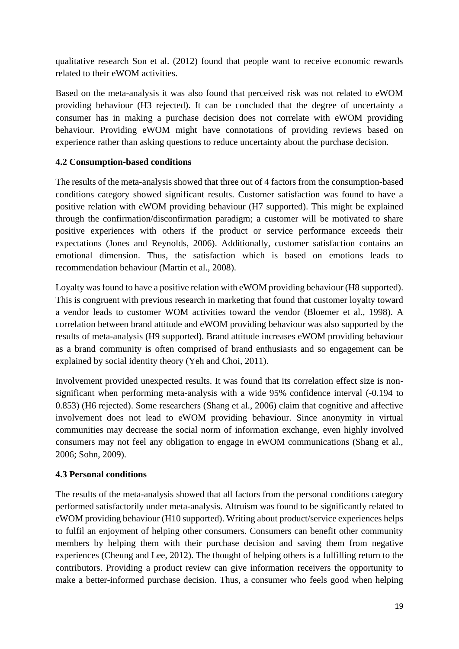qualitative research Son et al. (2012) found that people want to receive economic rewards related to their eWOM activities.

Based on the meta-analysis it was also found that perceived risk was not related to eWOM providing behaviour (H3 rejected). It can be concluded that the degree of uncertainty a consumer has in making a purchase decision does not correlate with eWOM providing behaviour. Providing eWOM might have connotations of providing reviews based on experience rather than asking questions to reduce uncertainty about the purchase decision.

# **4.2 Consumption-based conditions**

The results of the meta-analysis showed that three out of 4 factors from the consumption-based conditions category showed significant results. Customer satisfaction was found to have a positive relation with eWOM providing behaviour (H7 supported). This might be explained through the confirmation/disconfirmation paradigm; a customer will be motivated to share positive experiences with others if the product or service performance exceeds their expectations (Jones and Reynolds, 2006). Additionally, customer satisfaction contains an emotional dimension. Thus, the satisfaction which is based on emotions leads to recommendation behaviour (Martin et al., 2008).

Loyalty was found to have a positive relation with eWOM providing behaviour (H8 supported). This is congruent with previous research in marketing that found that customer loyalty toward a vendor leads to customer WOM activities toward the vendor (Bloemer et al., 1998). A correlation between brand attitude and eWOM providing behaviour was also supported by the results of meta-analysis (H9 supported). Brand attitude increases eWOM providing behaviour as a brand community is often comprised of brand enthusiasts and so engagement can be explained by social identity theory (Yeh and Choi, 2011).

Involvement provided unexpected results. It was found that its correlation effect size is nonsignificant when performing meta-analysis with a wide 95% confidence interval (-0.194 to 0.853) (H6 rejected). Some researchers (Shang et al., 2006) claim that cognitive and affective involvement does not lead to eWOM providing behaviour. Since anonymity in virtual communities may decrease the social norm of information exchange, even highly involved consumers may not feel any obligation to engage in eWOM communications (Shang et al., 2006; Sohn, 2009).

# **4.3 Personal conditions**

The results of the meta-analysis showed that all factors from the personal conditions category performed satisfactorily under meta-analysis. Altruism was found to be significantly related to eWOM providing behaviour (H10 supported). Writing about product/service experiences helps to fulfil an enjoyment of helping other consumers. Consumers can benefit other community members by helping them with their purchase decision and saving them from negative experiences (Cheung and Lee, 2012). The thought of helping others is a fulfilling return to the contributors. Providing a product review can give information receivers the opportunity to make a better-informed purchase decision. Thus, a consumer who feels good when helping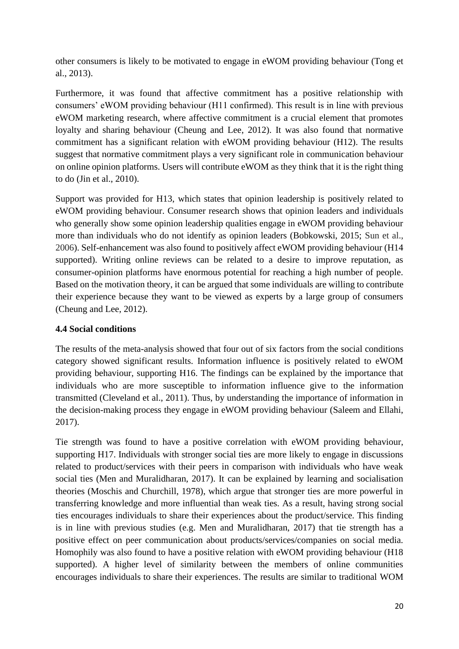other consumers is likely to be motivated to engage in eWOM providing behaviour (Tong et al., 2013).

Furthermore, it was found that affective commitment has a positive relationship with consumers' eWOM providing behaviour (H11 confirmed). This result is in line with previous eWOM marketing research, where affective commitment is a crucial element that promotes loyalty and sharing behaviour (Cheung and Lee, 2012). It was also found that normative commitment has a significant relation with eWOM providing behaviour (H12). The results suggest that normative commitment plays a very significant role in communication behaviour on online opinion platforms. Users will contribute eWOM as they think that it is the right thing to do (Jin et al., 2010).

Support was provided for H13, which states that opinion leadership is positively related to eWOM providing behaviour. Consumer research shows that opinion leaders and individuals who generally show some opinion leadership qualities engage in eWOM providing behaviour more than individuals who do not identify as opinion leaders (Bobkowski, 2015; Sun et al., 2006). Self-enhancement was also found to positively affect eWOM providing behaviour (H14 supported). Writing online reviews can be related to a desire to improve reputation, as consumer-opinion platforms have enormous potential for reaching a high number of people. Based on the motivation theory, it can be argued that some individuals are willing to contribute their experience because they want to be viewed as experts by a large group of consumers (Cheung and Lee, 2012).

### **4.4 Social conditions**

The results of the meta-analysis showed that four out of six factors from the social conditions category showed significant results. Information influence is positively related to eWOM providing behaviour, supporting H16. The findings can be explained by the importance that individuals who are more susceptible to information influence give to the information transmitted (Cleveland et al., 2011). Thus, by understanding the importance of information in the decision-making process they engage in eWOM providing behaviour (Saleem and Ellahi, 2017).

Tie strength was found to have a positive correlation with eWOM providing behaviour, supporting H17. Individuals with stronger social ties are more likely to engage in discussions related to product/services with their peers in comparison with individuals who have weak social ties (Men and Muralidharan, 2017). It can be explained by learning and socialisation theories (Moschis and Churchill, 1978), which argue that stronger ties are more powerful in transferring knowledge and more influential than weak ties. As a result, having strong social ties encourages individuals to share their experiences about the product/service. This finding is in line with previous studies (e.g. Men and Muralidharan, 2017) that tie strength has a positive effect on peer communication about products/services/companies on social media. Homophily was also found to have a positive relation with eWOM providing behaviour (H18 supported). A higher level of similarity between the members of online communities encourages individuals to share their experiences. The results are similar to traditional WOM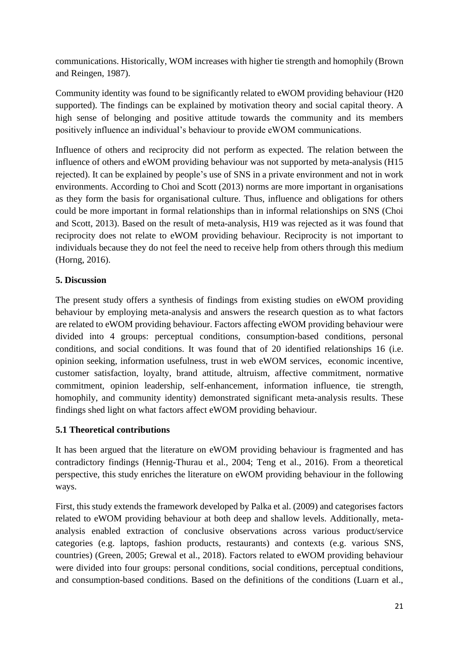communications. Historically, WOM increases with higher tie strength and homophily (Brown and Reingen, 1987).

Community identity was found to be significantly related to eWOM providing behaviour (H20 supported). The findings can be explained by motivation theory and social capital theory. A high sense of belonging and positive attitude towards the community and its members positively influence an individual's behaviour to provide eWOM communications.

Influence of others and reciprocity did not perform as expected. The relation between the influence of others and eWOM providing behaviour was not supported by meta-analysis (H15 rejected). It can be explained by people's use of SNS in a private environment and not in work environments. According to Choi and Scott (2013) norms are more important in organisations as they form the basis for organisational culture. Thus, influence and obligations for others could be more important in formal relationships than in informal relationships on SNS (Choi and Scott, 2013). Based on the result of meta-analysis, H19 was rejected as it was found that reciprocity does not relate to eWOM providing behaviour. Reciprocity is not important to individuals because they do not feel the need to receive help from others through this medium (Horng, 2016).

### **5. Discussion**

The present study offers a synthesis of findings from existing studies on eWOM providing behaviour by employing meta-analysis and answers the research question as to what factors are related to eWOM providing behaviour. Factors affecting eWOM providing behaviour were divided into 4 groups: perceptual conditions, consumption-based conditions, personal conditions, and social conditions. It was found that of 20 identified relationships 16 (i.e. opinion seeking, information usefulness, trust in web eWOM services, economic incentive, customer satisfaction, loyalty, brand attitude, altruism, affective commitment, normative commitment, opinion leadership, self-enhancement, information influence, tie strength, homophily, and community identity) demonstrated significant meta-analysis results. These findings shed light on what factors affect eWOM providing behaviour.

### **5.1 Theoretical contributions**

It has been argued that the literature on eWOM providing behaviour is fragmented and has contradictory findings (Hennig-Thurau et al., 2004; Teng et al., 2016). From a theoretical perspective, this study enriches the literature on eWOM providing behaviour in the following ways.

First, this study extends the framework developed by Palka et al. (2009) and categorises factors related to eWOM providing behaviour at both deep and shallow levels. Additionally, metaanalysis enabled extraction of conclusive observations across various product/service categories (e.g. laptops, fashion products, restaurants) and contexts (e.g. various SNS, countries) (Green, 2005; Grewal et al., 2018). Factors related to eWOM providing behaviour were divided into four groups: personal conditions, social conditions, perceptual conditions, and consumption-based conditions. Based on the definitions of the conditions (Luarn et al.,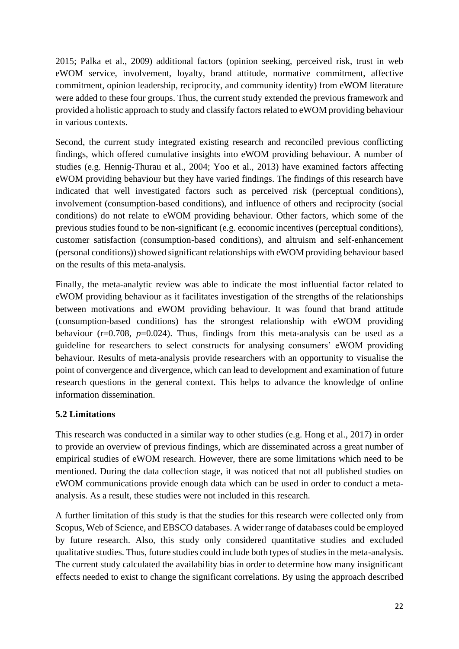2015; Palka et al., 2009) additional factors (opinion seeking, perceived risk, trust in web eWOM service, involvement, loyalty, brand attitude, normative commitment, affective commitment, opinion leadership, reciprocity, and community identity) from eWOM literature were added to these four groups. Thus, the current study extended the previous framework and provided a holistic approach to study and classify factors related to eWOM providing behaviour in various contexts.

Second, the current study integrated existing research and reconciled previous conflicting findings, which offered cumulative insights into eWOM providing behaviour. A number of studies (e.g. Hennig-Thurau et al., 2004; Yoo et al., 2013) have examined factors affecting eWOM providing behaviour but they have varied findings. The findings of this research have indicated that well investigated factors such as perceived risk (perceptual conditions), involvement (consumption-based conditions), and influence of others and reciprocity (social conditions) do not relate to eWOM providing behaviour. Other factors, which some of the previous studies found to be non-significant (e.g. economic incentives (perceptual conditions), customer satisfaction (consumption-based conditions), and altruism and self-enhancement (personal conditions)) showed significant relationships with eWOM providing behaviour based on the results of this meta-analysis.

Finally, the meta-analytic review was able to indicate the most influential factor related to eWOM providing behaviour as it facilitates investigation of the strengths of the relationships between motivations and eWOM providing behaviour. It was found that brand attitude (consumption-based conditions) has the strongest relationship with eWOM providing behaviour ( $r=0.708$ ,  $p=0.024$ ). Thus, findings from this meta-analysis can be used as a guideline for researchers to select constructs for analysing consumers' eWOM providing behaviour. Results of meta-analysis provide researchers with an opportunity to visualise the point of convergence and divergence, which can lead to development and examination of future research questions in the general context. This helps to advance the knowledge of online information dissemination.

### **5.2 Limitations**

This research was conducted in a similar way to other studies (e.g. Hong et al., 2017) in order to provide an overview of previous findings, which are disseminated across a great number of empirical studies of eWOM research. However, there are some limitations which need to be mentioned. During the data collection stage, it was noticed that not all published studies on eWOM communications provide enough data which can be used in order to conduct a metaanalysis. As a result, these studies were not included in this research.

A further limitation of this study is that the studies for this research were collected only from Scopus, Web of Science, and EBSCO databases. A wider range of databases could be employed by future research. Also, this study only considered quantitative studies and excluded qualitative studies. Thus, future studies could include both types of studies in the meta-analysis. The current study calculated the availability bias in order to determine how many insignificant effects needed to exist to change the significant correlations. By using the approach described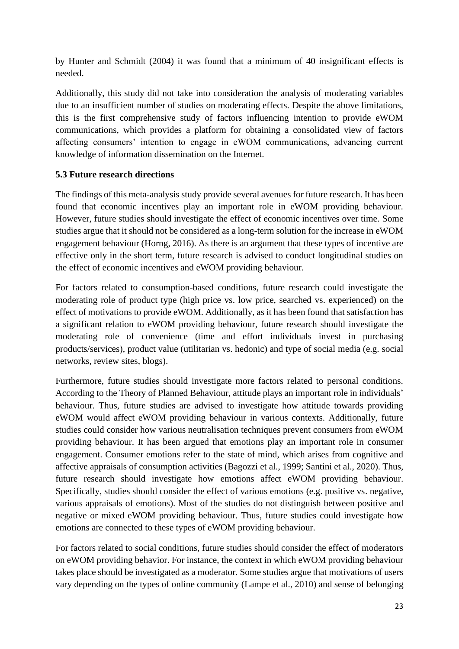by Hunter and Schmidt (2004) it was found that a minimum of 40 insignificant effects is needed.

Additionally, this study did not take into consideration the analysis of moderating variables due to an insufficient number of studies on moderating effects. Despite the above limitations, this is the first comprehensive study of factors influencing intention to provide eWOM communications, which provides a platform for obtaining a consolidated view of factors affecting consumers' intention to engage in eWOM communications, advancing current knowledge of information dissemination on the Internet.

# **5.3 Future research directions**

The findings of this meta-analysis study provide several avenues for future research. It has been found that economic incentives play an important role in eWOM providing behaviour. However, future studies should investigate the effect of economic incentives over time. Some studies argue that it should not be considered as a long-term solution for the increase in eWOM engagement behaviour (Horng, 2016). As there is an argument that these types of incentive are effective only in the short term, future research is advised to conduct longitudinal studies on the effect of economic incentives and eWOM providing behaviour.

For factors related to consumption-based conditions, future research could investigate the moderating role of product type (high price vs. low price, searched vs. experienced) on the effect of motivations to provide eWOM. Additionally, as it has been found that satisfaction has a significant relation to eWOM providing behaviour, future research should investigate the moderating role of convenience (time and effort individuals invest in purchasing products/services), product value (utilitarian vs. hedonic) and type of social media (e.g. social networks, review sites, blogs).

Furthermore, future studies should investigate more factors related to personal conditions. According to the Theory of Planned Behaviour, attitude plays an important role in individuals' behaviour. Thus, future studies are advised to investigate how attitude towards providing eWOM would affect eWOM providing behaviour in various contexts. Additionally, future studies could consider how various neutralisation techniques prevent consumers from eWOM providing behaviour. It has been argued that emotions play an important role in consumer engagement. Consumer emotions refer to the state of mind, which arises from cognitive and affective appraisals of consumption activities (Bagozzi et al., 1999; Santini et al., 2020). Thus, future research should investigate how emotions affect eWOM providing behaviour. Specifically, studies should consider the effect of various emotions (e.g. positive vs. negative, various appraisals of emotions). Most of the studies do not distinguish between positive and negative or mixed eWOM providing behaviour. Thus, future studies could investigate how emotions are connected to these types of eWOM providing behaviour.

For factors related to social conditions, future studies should consider the effect of moderators on eWOM providing behavior. For instance, the context in which eWOM providing behaviour takes place should be investigated as a moderator. Some studies argue that motivations of users vary depending on the types of online community (Lampe et al., 2010) and sense of belonging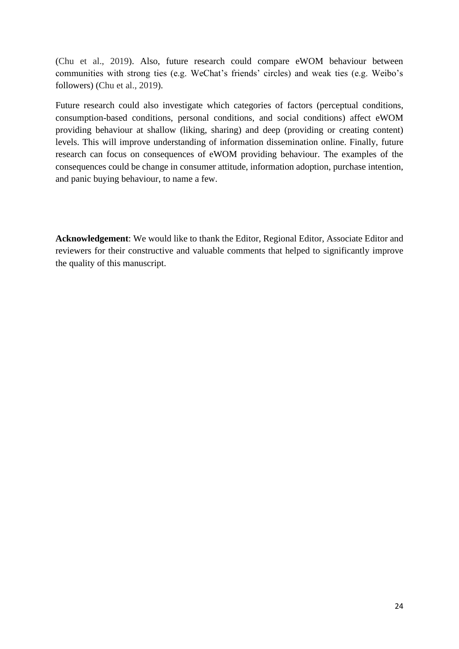(Chu et al., 2019). Also, future research could compare eWOM behaviour between communities with strong ties (e.g. WeChat's friends' circles) and weak ties (e.g. Weibo's followers) (Chu et al., 2019).

Future research could also investigate which categories of factors (perceptual conditions, consumption-based conditions, personal conditions, and social conditions) affect eWOM providing behaviour at shallow (liking, sharing) and deep (providing or creating content) levels. This will improve understanding of information dissemination online. Finally, future research can focus on consequences of eWOM providing behaviour. The examples of the consequences could be change in consumer attitude, information adoption, purchase intention, and panic buying behaviour, to name a few.

**Acknowledgement**: We would like to thank the Editor, Regional Editor, Associate Editor and reviewers for their constructive and valuable comments that helped to significantly improve the quality of this manuscript.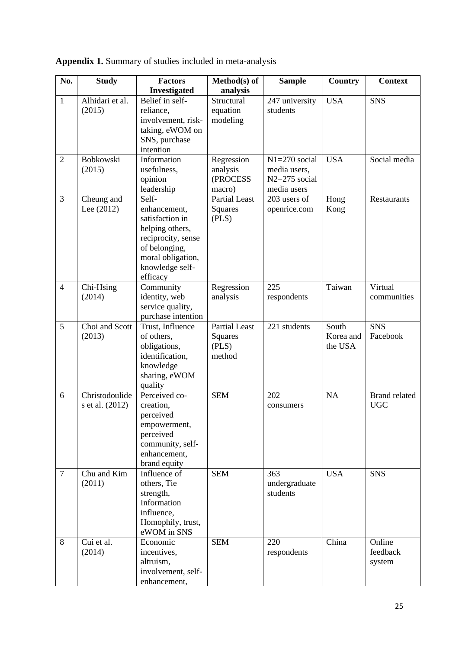| No.            | <b>Study</b>     | <b>Factors</b>                  | Method(s) of         | <b>Sample</b>   | Country              | <b>Context</b>       |
|----------------|------------------|---------------------------------|----------------------|-----------------|----------------------|----------------------|
|                |                  | <b>Investigated</b>             | analysis             |                 |                      |                      |
| $\mathbf{1}$   | Alhidari et al.  | Belief in self-                 | Structural           | 247 university  | <b>USA</b>           | <b>SNS</b>           |
|                | (2015)           | reliance,                       | equation             | students        |                      |                      |
|                |                  | involvement, risk-              | modeling             |                 |                      |                      |
|                |                  | taking, eWOM on                 |                      |                 |                      |                      |
|                |                  | SNS, purchase                   |                      |                 |                      |                      |
|                |                  | intention                       |                      |                 |                      |                      |
| $\overline{2}$ | <b>Bobkowski</b> | Information                     | Regression           | $N1=270$ social | <b>USA</b>           | Social media         |
|                | (2015)           | usefulness,                     | analysis             | media users,    |                      |                      |
|                |                  | opinion                         | (PROCESS             | N2=275 social   |                      |                      |
|                |                  | leadership                      | macro)               | media users     |                      |                      |
| 3              | Cheung and       | Self-                           | <b>Partial Least</b> | 203 users of    | Hong                 | Restaurants          |
|                | Lee $(2012)$     | enhancement,                    | Squares              | openrice.com    | Kong                 |                      |
|                |                  | satisfaction in                 | (PLS)                |                 |                      |                      |
|                |                  | helping others,                 |                      |                 |                      |                      |
|                |                  | reciprocity, sense              |                      |                 |                      |                      |
|                |                  | of belonging,                   |                      |                 |                      |                      |
|                |                  | moral obligation,               |                      |                 |                      |                      |
|                |                  | knowledge self-                 |                      |                 |                      |                      |
|                |                  | efficacy                        |                      |                 |                      |                      |
| $\overline{4}$ | Chi-Hsing        | Community                       | Regression           | 225             | Taiwan               | Virtual              |
|                | (2014)           | identity, web                   | analysis             | respondents     |                      | communities          |
|                |                  | service quality,                |                      |                 |                      |                      |
| 5              | Choi and Scott   | purchase intention              |                      |                 |                      | <b>SNS</b>           |
|                |                  | Trust, Influence                | <b>Partial Least</b> | 221 students    | South                | Facebook             |
|                | (2013)           | of others,                      | Squares<br>(PLS)     |                 | Korea and<br>the USA |                      |
|                |                  | obligations,<br>identification, | method               |                 |                      |                      |
|                |                  | knowledge                       |                      |                 |                      |                      |
|                |                  | sharing, eWOM                   |                      |                 |                      |                      |
|                |                  | quality                         |                      |                 |                      |                      |
| 6              | Christodoulide   | Perceived co-                   | <b>SEM</b>           | 202             | <b>NA</b>            | <b>Brand related</b> |
|                | s et al. (2012)  | creation,                       |                      | consumers       |                      | <b>UGC</b>           |
|                |                  | perceived                       |                      |                 |                      |                      |
|                |                  | empowerment,                    |                      |                 |                      |                      |
|                |                  | perceived                       |                      |                 |                      |                      |
|                |                  | community, self-                |                      |                 |                      |                      |
|                |                  | enhancement,                    |                      |                 |                      |                      |
|                |                  | brand equity                    |                      |                 |                      |                      |
| $\overline{7}$ | Chu and Kim      | Influence of                    | <b>SEM</b>           | 363             | <b>USA</b>           | <b>SNS</b>           |
|                | (2011)           | others, Tie                     |                      | undergraduate   |                      |                      |
|                |                  | strength,                       |                      | students        |                      |                      |
|                |                  | Information                     |                      |                 |                      |                      |
|                |                  | influence,                      |                      |                 |                      |                      |
|                |                  | Homophily, trust,               |                      |                 |                      |                      |
|                |                  | eWOM in SNS                     |                      |                 |                      |                      |
| 8              | Cui et al.       | Economic                        | <b>SEM</b>           | 220             | China                | Online               |
|                | (2014)           | incentives,                     |                      | respondents     |                      | feedback             |
|                |                  | altruism,                       |                      |                 |                      | system               |
|                |                  | involvement, self-              |                      |                 |                      |                      |
|                |                  | enhancement,                    |                      |                 |                      |                      |

**Appendix 1.** Summary of studies included in meta-analysis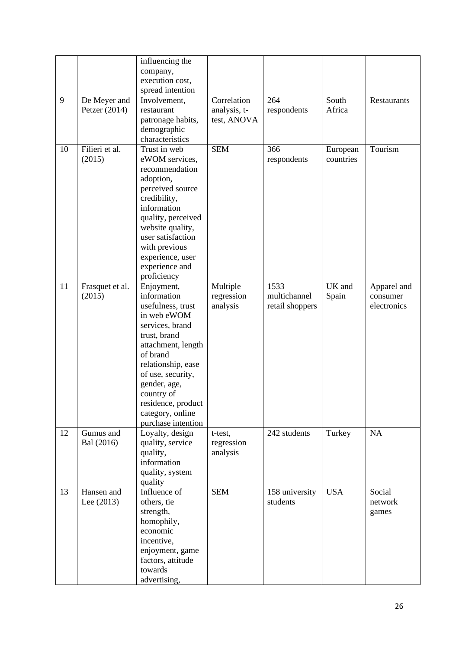|    |                               | influencing the<br>company,<br>execution cost,<br>spread intention                                                                                                                                                                                                          |                                            |                                         |                       |                                        |
|----|-------------------------------|-----------------------------------------------------------------------------------------------------------------------------------------------------------------------------------------------------------------------------------------------------------------------------|--------------------------------------------|-----------------------------------------|-----------------------|----------------------------------------|
| 9  | De Meyer and<br>Petzer (2014) | Involvement,<br>restaurant<br>patronage habits,<br>demographic<br>characteristics                                                                                                                                                                                           | Correlation<br>analysis, t-<br>test, ANOVA | 264<br>respondents                      | South<br>Africa       | Restaurants                            |
| 10 | Filieri et al.<br>(2015)      | Trust in web<br>eWOM services,<br>recommendation<br>adoption,<br>perceived source<br>credibility,<br>information<br>quality, perceived<br>website quality,<br>user satisfaction<br>with previous<br>experience, user<br>experience and<br>proficiency                       | <b>SEM</b>                                 | 366<br>respondents                      | European<br>countries | Tourism                                |
| 11 | Frasquet et al.<br>(2015)     | Enjoyment,<br>information<br>usefulness, trust<br>in web eWOM<br>services, brand<br>trust, brand<br>attachment, length<br>of brand<br>relationship, ease<br>of use, security,<br>gender, age,<br>country of<br>residence, product<br>category, online<br>purchase intention | Multiple<br>regression<br>analysis         | 1533<br>multichannel<br>retail shoppers | UK and<br>Spain       | Apparel and<br>consumer<br>electronics |
| 12 | Gumus and<br>Bal (2016)       | Loyalty, design<br>quality, service<br>quality,<br>information<br>quality, system<br>quality                                                                                                                                                                                | t-test,<br>regression<br>analysis          | 242 students                            | Turkey                | <b>NA</b>                              |
| 13 | Hansen and<br>Lee $(2013)$    | Influence of<br>others, tie<br>strength,<br>homophily,<br>economic<br>incentive,<br>enjoyment, game<br>factors, attitude<br>towards<br>advertising,                                                                                                                         | <b>SEM</b>                                 | 158 university<br>students              | <b>USA</b>            | Social<br>network<br>games             |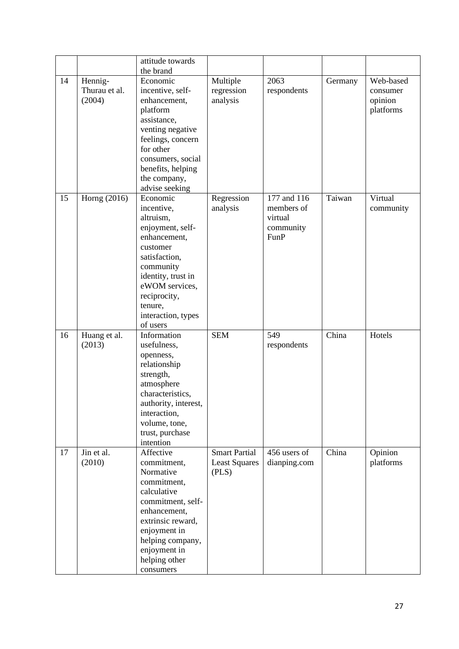|    |                                    | attitude towards<br>the brand                                                                                                                                                                                          |                                                       |                                                           |         |                                               |
|----|------------------------------------|------------------------------------------------------------------------------------------------------------------------------------------------------------------------------------------------------------------------|-------------------------------------------------------|-----------------------------------------------------------|---------|-----------------------------------------------|
| 14 | Hennig-<br>Thurau et al.<br>(2004) | Economic<br>incentive, self-<br>enhancement,<br>platform<br>assistance,<br>venting negative<br>feelings, concern<br>for other<br>consumers, social<br>benefits, helping<br>the company,<br>advise seeking              | Multiple<br>regression<br>analysis                    | 2063<br>respondents                                       | Germany | Web-based<br>consumer<br>opinion<br>platforms |
| 15 | Horng (2016)                       | Economic<br>incentive,<br>altruism,<br>enjoyment, self-<br>enhancement,<br>customer<br>satisfaction,<br>community<br>identity, trust in<br>eWOM services,<br>reciprocity,<br>tenure,<br>interaction, types<br>of users | Regression<br>analysis                                | 177 and 116<br>members of<br>virtual<br>community<br>FunP | Taiwan  | Virtual<br>community                          |
| 16 | Huang et al.<br>(2013)             | Information<br>usefulness,<br>openness,<br>relationship<br>strength,<br>atmosphere<br>characteristics,<br>authority, interest,<br>interaction,<br>volume, tone,<br>trust, purchase<br>intention                        | <b>SEM</b>                                            | 549<br>respondents                                        | China   | Hotels                                        |
| 17 | Jin et al.<br>(2010)               | Affective<br>commitment,<br>Normative<br>commitment,<br>calculative<br>commitment, self-<br>enhancement,<br>extrinsic reward,<br>enjoyment in<br>helping company,<br>enjoyment in<br>helping other<br>consumers        | <b>Smart Partial</b><br><b>Least Squares</b><br>(PLS) | 456 users of<br>dianping.com                              | China   | Opinion<br>platforms                          |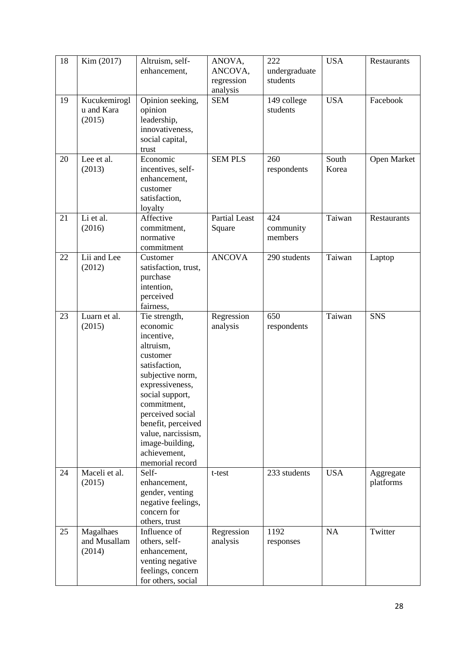| 18 | Kim (2017)                           | Altruism, self-<br>enhancement,                                                                                                                                                                                                                                                  | ANOVA,<br>ANCOVA,<br>regression<br>analysis | 222<br>undergraduate<br>students | <b>USA</b>     | Restaurants            |
|----|--------------------------------------|----------------------------------------------------------------------------------------------------------------------------------------------------------------------------------------------------------------------------------------------------------------------------------|---------------------------------------------|----------------------------------|----------------|------------------------|
| 19 | Kucukemirogl<br>u and Kara<br>(2015) | Opinion seeking,<br>opinion<br>leadership,<br>innovativeness,<br>social capital,<br>trust                                                                                                                                                                                        | <b>SEM</b>                                  | 149 college<br>students          | <b>USA</b>     | Facebook               |
| 20 | Lee et al.<br>(2013)                 | Economic<br>incentives, self-<br>enhancement,<br>customer<br>satisfaction,<br>loyalty                                                                                                                                                                                            | <b>SEMPLS</b>                               | 260<br>respondents               | South<br>Korea | Open Market            |
| 21 | Li et al.<br>(2016)                  | Affective<br>commitment,<br>normative<br>commitment                                                                                                                                                                                                                              | Partial Least<br>Square                     | 424<br>community<br>members      | Taiwan         | Restaurants            |
| 22 | Lii and Lee<br>(2012)                | Customer<br>satisfaction, trust,<br>purchase<br>intention,<br>perceived<br>fairness,                                                                                                                                                                                             | <b>ANCOVA</b>                               | 290 students                     | Taiwan         | Laptop                 |
| 23 | Luarn et al.<br>(2015)               | Tie strength,<br>economic<br>incentive,<br>altruism,<br>customer<br>satisfaction,<br>subjective norm,<br>expressiveness,<br>social support,<br>commitment,<br>perceived social<br>benefit, perceived<br>value, narcissism,<br>image-building,<br>achievement,<br>memorial record | Regression<br>analysis                      | 650<br>respondents               | Taiwan         | <b>SNS</b>             |
| 24 | Maceli et al.<br>(2015)              | Self-<br>enhancement,<br>gender, venting<br>negative feelings,<br>concern for<br>others, trust                                                                                                                                                                                   | t-test                                      | 233 students                     | <b>USA</b>     | Aggregate<br>platforms |
| 25 | Magalhaes<br>and Musallam<br>(2014)  | Influence of<br>others, self-<br>enhancement,<br>venting negative<br>feelings, concern<br>for others, social                                                                                                                                                                     | Regression<br>analysis                      | 1192<br>responses                | <b>NA</b>      | Twitter                |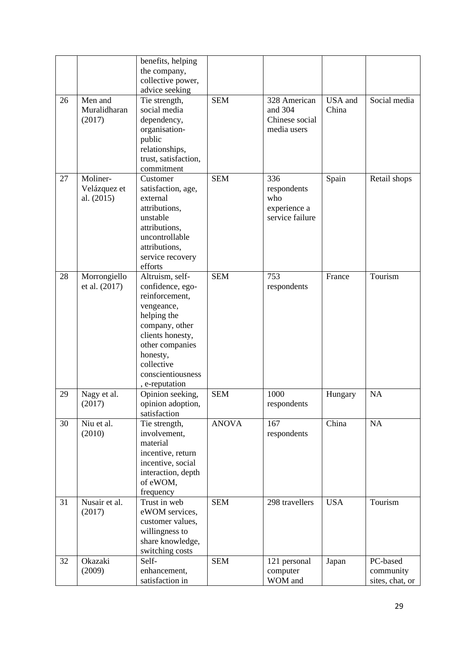|    |                                          | benefits, helping<br>the company,<br>collective power,<br>advice seeking                                                                                                                                     |              |                                                              |                         |                                          |
|----|------------------------------------------|--------------------------------------------------------------------------------------------------------------------------------------------------------------------------------------------------------------|--------------|--------------------------------------------------------------|-------------------------|------------------------------------------|
| 26 | Men and<br>Muralidharan<br>(2017)        | Tie strength,<br>social media<br>dependency,<br>organisation-<br>public<br>relationships,<br>trust, satisfaction,<br>commitment                                                                              | <b>SEM</b>   | 328 American<br>and 304<br>Chinese social<br>media users     | <b>USA</b> and<br>China | Social media                             |
| 27 | Moliner-<br>Velázquez et<br>al. $(2015)$ | Customer<br>satisfaction, age,<br>external<br>attributions,<br>unstable<br>attributions,<br>uncontrollable<br>attributions,<br>service recovery<br>efforts                                                   | <b>SEM</b>   | 336<br>respondents<br>who<br>experience a<br>service failure | Spain                   | Retail shops                             |
| 28 | Morrongiello<br>et al. (2017)            | Altruism, self-<br>confidence, ego-<br>reinforcement,<br>vengeance,<br>helping the<br>company, other<br>clients honesty,<br>other companies<br>honesty,<br>collective<br>conscientiousness<br>, e-reputation | <b>SEM</b>   | 753<br>respondents                                           | France                  | Tourism                                  |
| 29 | Nagy et al.<br>(2017)                    | Opinion seeking,<br>opinion adoption,<br>satisfaction                                                                                                                                                        | <b>SEM</b>   | 1000<br>respondents                                          | Hungary                 | NA                                       |
| 30 | Niu et al.<br>(2010)                     | Tie strength,<br>involvement,<br>material<br>incentive, return<br>incentive, social<br>interaction, depth<br>of eWOM,<br>frequency                                                                           | <b>ANOVA</b> | 167<br>respondents                                           | China                   | NA                                       |
| 31 | Nusair et al.<br>(2017)                  | Trust in web<br>eWOM services,<br>customer values,<br>willingness to<br>share knowledge,<br>switching costs                                                                                                  | <b>SEM</b>   | 298 travellers                                               | <b>USA</b>              | Tourism                                  |
| 32 | Okazaki<br>(2009)                        | Self-<br>enhancement,<br>satisfaction in                                                                                                                                                                     | <b>SEM</b>   | 121 personal<br>computer<br>WOM and                          | Japan                   | PC-based<br>community<br>sites, chat, or |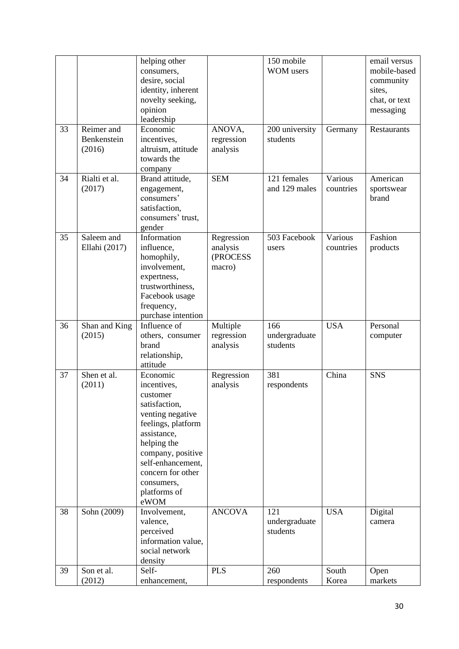|    |                                     | helping other<br>consumers,<br>desire, social<br>identity, inherent<br>novelty seeking,<br>opinion<br>leadership                                 |                                              | 150 mobile<br><b>WOM</b> users   |                      | email versus<br>mobile-based<br>community<br>sites,<br>chat, or text<br>messaging |
|----|-------------------------------------|--------------------------------------------------------------------------------------------------------------------------------------------------|----------------------------------------------|----------------------------------|----------------------|-----------------------------------------------------------------------------------|
| 33 | Reimer and<br>Benkenstein<br>(2016) | Economic<br>incentives,<br>altruism, attitude<br>towards the<br>company                                                                          | ANOVA,<br>regression<br>analysis             | 200 university<br>students       | Germany              | <b>Restaurants</b>                                                                |
| 34 | Rialti et al.<br>(2017)             | Brand attitude,<br>engagement,<br>consumers'<br>satisfaction,<br>consumers' trust,<br>gender                                                     | <b>SEM</b>                                   | 121 females<br>and 129 males     | Various<br>countries | American<br>sportswear<br>brand                                                   |
| 35 | Saleem and<br>Ellahi (2017)         | Information<br>influence,<br>homophily,<br>involvement,<br>expertness,<br>trustworthiness,<br>Facebook usage<br>frequency,<br>purchase intention | Regression<br>analysis<br>(PROCESS<br>macro) | 503 Facebook<br>users            | Various<br>countries | Fashion<br>products                                                               |
| 36 | Shan and King<br>(2015)             | Influence of<br>others, consumer<br>brand<br>relationship,<br>attitude                                                                           | Multiple<br>regression<br>analysis           | 166<br>undergraduate<br>students | <b>USA</b>           | Personal<br>computer                                                              |
| 37 | Shen et al.<br>(2011)               | Economic<br>incentives,<br>customer<br>satisfaction,<br>venting negative<br>feelings, platform                                                   | Regression<br>analysis                       | 381<br>respondents               | China                | <b>SNS</b>                                                                        |
|    |                                     | assistance,<br>helping the<br>company, positive<br>self-enhancement,<br>concern for other<br>consumers,<br>platforms of<br>eWOM                  |                                              |                                  |                      |                                                                                   |
| 38 | Sohn (2009)                         | Involvement,<br>valence,<br>perceived<br>information value,<br>social network<br>density                                                         | <b>ANCOVA</b>                                | 121<br>undergraduate<br>students | <b>USA</b>           | Digital<br>camera                                                                 |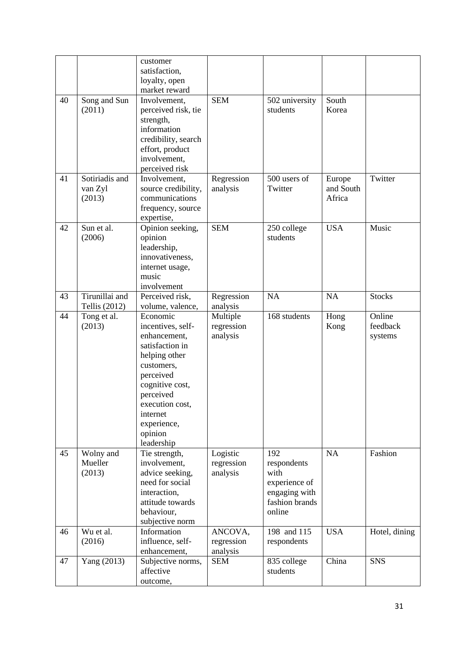|    |                                        | customer<br>satisfaction,<br>loyalty, open<br>market reward                                                                                                                                                         |                                                |                                                                                          |                               |                               |
|----|----------------------------------------|---------------------------------------------------------------------------------------------------------------------------------------------------------------------------------------------------------------------|------------------------------------------------|------------------------------------------------------------------------------------------|-------------------------------|-------------------------------|
| 40 | Song and Sun<br>(2011)                 | Involvement,<br>perceived risk, tie<br>strength,<br>information<br>credibility, search<br>effort, product<br>involvement,<br>perceived risk                                                                         | <b>SEM</b>                                     | 502 university<br>students                                                               | South<br>Korea                |                               |
| 41 | Sotiriadis and<br>van Zyl<br>(2013)    | Involvement,<br>source credibility,<br>communications<br>frequency, source<br>expertise,                                                                                                                            | Regression<br>analysis                         | 500 users of<br>Twitter                                                                  | Europe<br>and South<br>Africa | Twitter                       |
| 42 | Sun et al.<br>(2006)                   | Opinion seeking,<br>opinion<br>leadership,<br>innovativeness,<br>internet usage,<br>music<br>involvement                                                                                                            | <b>SEM</b>                                     | 250 college<br>students                                                                  | <b>USA</b>                    | Music                         |
| 43 | Tirunillai and                         | Perceived risk,<br>volume, valence,                                                                                                                                                                                 | Regression                                     | <b>NA</b>                                                                                | <b>NA</b>                     | <b>Stocks</b>                 |
| 44 | Tellis (2012)<br>Tong et al.<br>(2013) | Economic<br>incentives, self-<br>enhancement,<br>satisfaction in<br>helping other<br>customers,<br>perceived<br>cognitive cost,<br>perceived<br>execution cost,<br>internet<br>experience,<br>opinion<br>leadership | analysis<br>Multiple<br>regression<br>analysis | 168 students                                                                             | Hong<br>Kong                  | Online<br>feedback<br>systems |
| 45 | Wolny and<br>Mueller<br>(2013)         | Tie strength,<br>involvement,<br>advice seeking,<br>need for social<br>interaction,<br>attitude towards<br>behaviour,<br>subjective norm                                                                            | Logistic<br>regression<br>analysis             | 192<br>respondents<br>with<br>experience of<br>engaging with<br>fashion brands<br>online | NA                            | Fashion                       |
| 46 | Wu et al.<br>(2016)                    | Information<br>influence, self-<br>enhancement,                                                                                                                                                                     | ANCOVA,<br>regression<br>analysis              | 198 and 115<br>respondents                                                               | <b>USA</b>                    | Hotel, dining                 |
| 47 | Yang (2013)                            | Subjective norms,<br>affective<br>outcome,                                                                                                                                                                          | <b>SEM</b>                                     | 835 college<br>students                                                                  | China                         | <b>SNS</b>                    |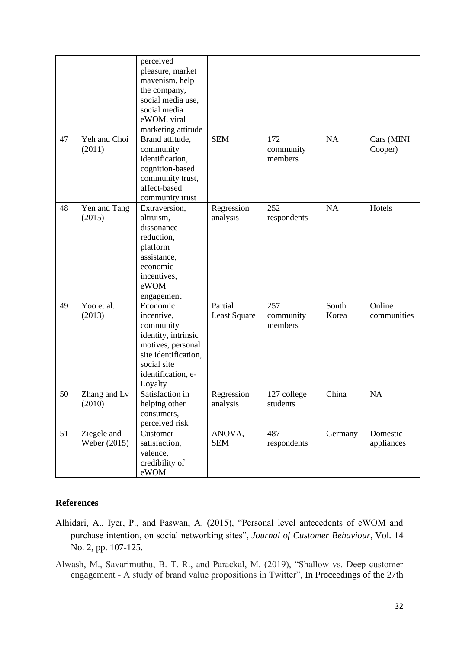|    |                             | perceived<br>pleasure, market<br>mavenism, help<br>the company,<br>social media use,<br>social media<br>eWOM, viral<br>marketing attitude               |                         |                             |                |                        |
|----|-----------------------------|---------------------------------------------------------------------------------------------------------------------------------------------------------|-------------------------|-----------------------------|----------------|------------------------|
| 47 | Yeh and Choi<br>(2011)      | Brand attitude,<br>community<br>identification,<br>cognition-based<br>community trust,<br>affect-based<br>community trust                               | <b>SEM</b>              | 172<br>community<br>members | <b>NA</b>      | Cars (MINI<br>Cooper)  |
| 48 | Yen and Tang<br>(2015)      | Extraversion,<br>altruism,<br>dissonance<br>reduction,<br>platform<br>assistance,<br>economic<br>incentives,<br>eWOM<br>engagement                      | Regression<br>analysis  | 252<br>respondents          | NA             | Hotels                 |
| 49 | Yoo et al.<br>(2013)        | Economic<br>incentive,<br>community<br>identity, intrinsic<br>motives, personal<br>site identification,<br>social site<br>identification, e-<br>Loyalty | Partial<br>Least Square | 257<br>community<br>members | South<br>Korea | Online<br>communities  |
| 50 | Zhang and Lv<br>(2010)      | Satisfaction in<br>helping other<br>consumers,<br>perceived risk                                                                                        | Regression<br>analysis  | 127 college<br>students     | China          | NA                     |
| 51 | Ziegele and<br>Weber (2015) | Customer<br>satisfaction,<br>valence,<br>credibility of<br>eWOM                                                                                         | ANOVA,<br><b>SEM</b>    | 487<br>respondents          | Germany        | Domestic<br>appliances |

#### **References**

- Alhidari, A., Iyer, P., and Paswan, A. (2015), "Personal level antecedents of eWOM and purchase intention, on social networking sites", *Journal of Customer Behaviour*, Vol. 14 No. 2, pp. 107-125.
- Alwash, M., Savarimuthu, B. T. R., and Parackal, M. (2019), "Shallow vs. Deep customer engagement - A study of brand value propositions in Twitter", In Proceedings of the 27th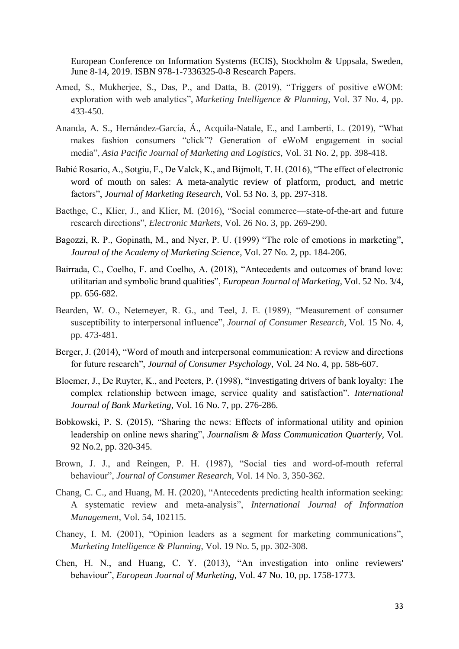European Conference on Information Systems (ECIS), Stockholm & Uppsala, Sweden, June 8-14, 2019. ISBN 978-1-7336325-0-8 Research Papers.

- Amed, S., Mukherjee, S., Das, P., and Datta, B. (2019), "Triggers of positive eWOM: exploration with web analytics", *Marketing Intelligence & Planning*, Vol. 37 No. 4, pp. 433-450.
- Ananda, A. S., Hernández-García, Á., Acquila-Natale, E., and Lamberti, L. (2019), "What makes fashion consumers "click"? Generation of eWoM engagement in social media", *Asia Pacific Journal of Marketing and Logistics*, Vol. 31 No. 2, pp. 398-418.
- Babić Rosario, A., Sotgiu, F., De Valck, K., and Bijmolt, T. H. (2016), "The effect of electronic word of mouth on sales: A meta-analytic review of platform, product, and metric factors", *Journal of Marketing Research*, Vol. 53 No. 3, pp. 297-318.
- Baethge, C., Klier, J., and Klier, M. (2016), "Social commerce—state-of-the-art and future research directions", *Electronic Markets*, Vol. 26 No. 3, pp. 269-290.
- Bagozzi, R. P., Gopinath, M., and Nyer, P. U. (1999) "The role of emotions in marketing", *Journal of the Academy of Marketing Science*, Vol. 27 No. 2, pp. 184-206.
- Bairrada, C., Coelho, F. and Coelho, A. (2018), "Antecedents and outcomes of brand love: utilitarian and symbolic brand qualities", *European Journal of Marketing*, Vol. 52 No. 3/4, pp. 656-682.
- Bearden, W. O., Netemeyer, R. G., and Teel, J. E. (1989), "Measurement of consumer susceptibility to interpersonal influence", *Journal of Consumer Research*, Vol. 15 No. 4, pp. 473-481.
- Berger, J. (2014), "Word of mouth and interpersonal communication: A review and directions for future research", *Journal of Consumer Psychology*, Vol. 24 No. 4, pp. 586-607.
- Bloemer, J., De Ruyter, K., and Peeters, P. (1998), "Investigating drivers of bank loyalty: The complex relationship between image, service quality and satisfaction". *International Journal of Bank Marketing*, Vol. 16 No. 7, pp. 276-286.
- Bobkowski, P. S. (2015), "Sharing the news: Effects of informational utility and opinion leadership on online news sharing", *Journalism & Mass Communication Quarterly,* Vol. 92 No.2, pp. 320-345.
- Brown, J. J., and Reingen, P. H. (1987), "Social ties and word-of-mouth referral behaviour", *Journal of Consumer Research*, Vol. 14 No. 3, 350-362.
- Chang, C. C., and Huang, M. H. (2020), "Antecedents predicting health information seeking: A systematic review and meta-analysis", *International Journal of Information Management*, Vol. 54, 102115.
- Chaney, I. M. (2001), "Opinion leaders as a segment for marketing communications", *Marketing Intelligence & Planning*, Vol. 19 No. 5, pp. 302-308.
- Chen, H. N., and Huang, C. Y. (2013), "An investigation into online reviewers' behaviour", *European Journal of Marketing*, Vol. 47 No. 10, pp. 1758-1773.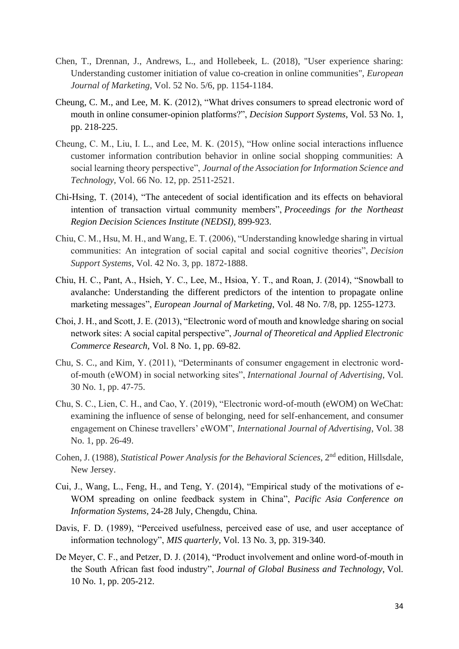- Chen, T., Drennan, J., Andrews, L., and Hollebeek, L. (2018), "User experience sharing: Understanding customer initiation of value co-creation in online communities", *European Journal of Marketing*, Vol. 52 No. 5/6, pp. 1154-1184.
- Cheung, C. M., and Lee, M. K. (2012), "What drives consumers to spread electronic word of mouth in online consumer-opinion platforms?", *Decision Support Systems*, Vol. 53 No. 1, pp. 218-225.
- Cheung, C. M., Liu, I. L., and Lee, M. K. (2015), "How online social interactions influence customer information contribution behavior in online social shopping communities: A social learning theory perspective", *Journal of the Association for Information Science and Technology*, Vol. 66 No. 12, pp. 2511-2521.
- Chi-Hsing, T. (2014), "The antecedent of social identification and its effects on behavioral intention of transaction virtual community members", *Proceedings for the Northeast Region Decision Sciences Institute (NEDSI),* 899-923.
- Chiu, C. M., Hsu, M. H., and Wang, E. T. (2006), "Understanding knowledge sharing in virtual communities: An integration of social capital and social cognitive theories", *Decision Support Systems*, Vol. 42 No. 3, pp. 1872-1888.
- Chiu, H. C., Pant, A., Hsieh, Y. C., Lee, M., Hsioa, Y. T., and Roan, J. (2014), "Snowball to avalanche: Understanding the different predictors of the intention to propagate online marketing messages", *European Journal of Marketing*, Vol. 48 No. 7/8, pp. 1255-1273.
- Choi, J. H., and Scott, J. E. (2013), "Electronic word of mouth and knowledge sharing on social network sites: A social capital perspective", *Journal of Theoretical and Applied Electronic Commerce Research,* Vol. 8 No. 1, pp. 69-82.
- Chu, S. C., and Kim, Y. (2011), "Determinants of consumer engagement in electronic wordof-mouth (eWOM) in social networking sites", *International Journal of Advertising*, Vol. 30 No. 1, pp. 47-75.
- Chu, S. C., Lien, C. H., and Cao, Y. (2019), "Electronic word-of-mouth (eWOM) on WeChat: examining the influence of sense of belonging, need for self-enhancement, and consumer engagement on Chinese travellers' eWOM", *International Journal of Advertising*, Vol. 38 No. 1, pp. 26-49.
- Cohen, J. (1988), *Statistical Power Analysis for the Behavioral Sciences*, 2nd edition, Hillsdale, New Jersey.
- Cui, J., Wang, L., Feng, H., and Teng, Y. (2014), "Empirical study of the motivations of e-WOM spreading on online feedback system in China", *Pacific Asia Conference on Information Systems,* 24-28 July, Chengdu, China*.*
- Davis, F. D. (1989), "Perceived usefulness, perceived ease of use, and user acceptance of information technology", *MIS quarterly*, Vol. 13 No. 3, pp. 319-340.
- De Meyer, C. F., and Petzer, D. J. (2014), "Product involvement and online word-of-mouth in the South African fast food industry", *Journal of Global Business and Technology*, Vol. 10 No. 1, pp. 205-212.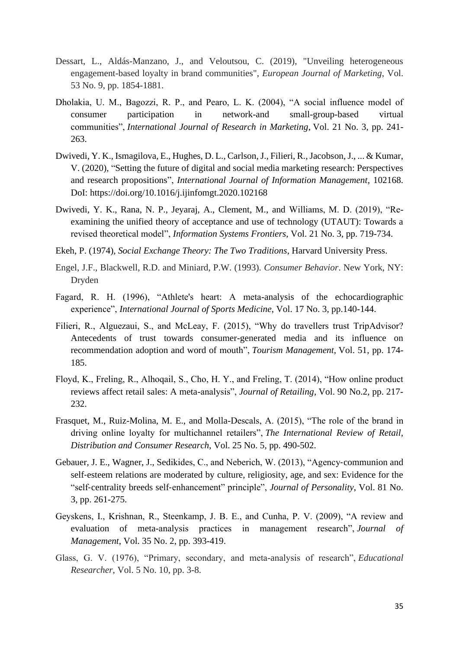- Dessart, L., Aldás-Manzano, J., and Veloutsou, C. (2019), "Unveiling heterogeneous engagement-based loyalty in brand communities", *European Journal of Marketing*, Vol. 53 No. 9, pp. 1854-1881.
- Dholakia, U. M., Bagozzi, R. P., and Pearo, L. K. (2004), "A social influence model of consumer participation in network-and small-group-based virtual communities", *International Journal of Research in Marketing*, Vol. 21 No. 3, pp. 241- 263.
- Dwivedi, Y. K., Ismagilova, E., Hughes, D. L., Carlson, J., Filieri, R., Jacobson, J., ... & Kumar, V. (2020), "Setting the future of digital and social media marketing research: Perspectives and research propositions", *International Journal of Information Management*, 102168. DoI: https://doi.org/10.1016/j.ijinfomgt.2020.102168
- Dwivedi, Y. K., Rana, N. P., Jeyaraj, A., Clement, M., and Williams, M. D. (2019), "Reexamining the unified theory of acceptance and use of technology (UTAUT): Towards a revised theoretical model", *Information Systems Frontiers*, Vol. 21 No. 3, pp. 719-734.
- Ekeh, P. (1974), *Social Exchange Theory: The Two Traditions*, Harvard University Press.
- Engel, J.F., Blackwell, R.D. and Miniard, P.W. (1993). *Consumer Behavior*. New York, NY: Dryden
- Fagard, R. H. (1996), "Athlete's heart: A meta-analysis of the echocardiographic experience", *International Journal of Sports Medicine*, Vol. 17 No. 3, pp.140-144.
- Filieri, R., Alguezaui, S., and McLeay, F. (2015), "Why do travellers trust TripAdvisor? Antecedents of trust towards consumer-generated media and its influence on recommendation adoption and word of mouth", *Tourism Management*, Vol. 51, pp. 174- 185.
- Floyd, K., Freling, R., Alhoqail, S., Cho, H. Y., and Freling, T. (2014), "How online product reviews affect retail sales: A meta-analysis", *Journal of Retailing*, Vol. 90 No.2, pp. 217- 232.
- Frasquet, M., Ruiz-Molina, M. E., and Molla-Descals, A. (2015), "The role of the brand in driving online loyalty for multichannel retailers", *The International Review of Retail, Distribution and Consumer Research*, Vol. 25 No. 5, pp. 490-502.
- Gebauer, J. E., Wagner, J., Sedikides, C., and Neberich, W. (2013), "Agency‐communion and self-esteem relations are moderated by culture, religiosity, age, and sex: Evidence for the "self‐centrality breeds self‐enhancement" principle", *Journal of Personality*, Vol. 81 No. 3, pp. 261-275.
- Geyskens, I., Krishnan, R., Steenkamp, J. B. E., and Cunha, P. V. (2009), "A review and evaluation of meta-analysis practices in management research", *Journal of Management*, Vol. 35 No. 2, pp. 393-419.
- Glass, G. V. (1976), "Primary, secondary, and meta-analysis of research", *Educational Researcher*, Vol. 5 No. 10, pp. 3-8.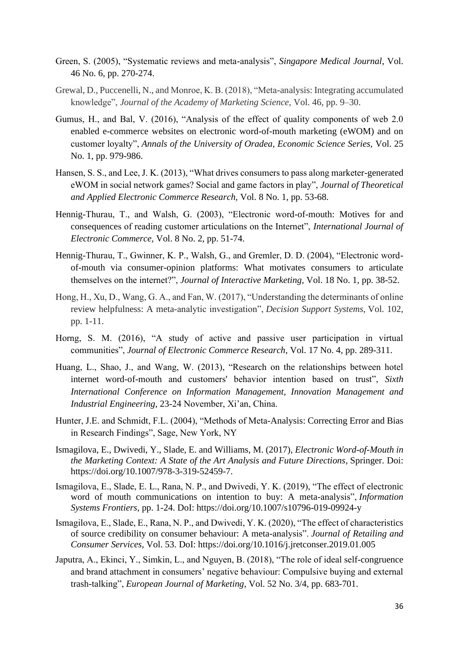- Green, S. (2005), "Systematic reviews and meta-analysis", *Singapore Medical Journal*, Vol. 46 No. 6, pp. 270-274.
- Grewal, D., Puccenelli, N., and Monroe, K. B. (2018), "Meta-analysis: Integrating accumulated knowledge", *Journal of the Academy of Marketing Science,* Vol. 46, pp. 9–30.
- Gumus, H., and Bal, V. (2016), "Analysis of the effect of quality components of web 2.0 enabled e-commerce websites on electronic word-of-mouth marketing (eWOM) and on customer loyalty", *Annals of the University of Oradea, Economic Science Series,* Vol. 25 No. 1, pp. 979-986.
- Hansen, S. S., and Lee, J. K. (2013), "What drives consumers to pass along marketer-generated eWOM in social network games? Social and game factors in play", *Journal of Theoretical and Applied Electronic Commerce Research,* Vol. 8 No. 1, pp. 53-68.
- Hennig-Thurau, T., and Walsh, G. (2003), "Electronic word-of-mouth: Motives for and consequences of reading customer articulations on the Internet", *International Journal of Electronic Commerce,* Vol. 8 No. 2, pp. 51-74.
- Hennig-Thurau, T., Gwinner, K. P., Walsh, G., and Gremler, D. D. (2004), "Electronic wordof-mouth via consumer-opinion platforms: What motivates consumers to articulate themselves on the internet?", *Journal of Interactive Marketing,* Vol. 18 No. 1, pp. 38-52.
- Hong, H., Xu, D., Wang, G. A., and Fan, W. (2017), "Understanding the determinants of online review helpfulness: A meta-analytic investigation", *Decision Support Systems*, Vol. 102, pp. 1-11.
- Horng, S. M. (2016), "A study of active and passive user participation in virtual communities", *Journal of Electronic Commerce Research*, Vol. 17 No. 4, pp. 289-311.
- Huang, L., Shao, J., and Wang, W. (2013), "Research on the relationships between hotel internet word-of-mouth and customers' behavior intention based on trust", *Sixth International Conference on Information Management, Innovation Management and Industrial Engineering,* 23-24 November, Xi'an, China.
- Hunter, J.E. and Schmidt, F.L. (2004), "Methods of Meta-Analysis: Correcting Error and Bias in Research Findings", Sage, New York, NY
- Ismagilova, E., Dwivedi, Y., Slade, E. and Williams, M. (2017), *Electronic Word-of-Mouth in the Marketing Context: A State of the Art Analysis and Future Directions*, Springer. Doi: https://doi.org/10.1007/978-3-319-52459-7.
- Ismagilova, E., Slade, E. L., Rana, N. P., and Dwivedi, Y. K. (2019), "The effect of electronic word of mouth communications on intention to buy: A meta-analysis", *Information Systems Frontiers*, pp. 1-24. DoI: https://doi.org/10.1007/s10796-019-09924-y
- Ismagilova, E., Slade, E., Rana, N. P., and Dwivedi, Y. K. (2020), "The effect of characteristics of source credibility on consumer behaviour: A meta-analysis". *Journal of Retailing and Consumer Services*, Vol. 53. DoI: https://doi.org/10.1016/j.jretconser.2019.01.005
- Japutra, A., Ekinci, Y., Simkin, L., and Nguyen, B. (2018), "The role of ideal self-congruence and brand attachment in consumers' negative behaviour: Compulsive buying and external trash-talking", *European Journal of Marketing*, Vol. 52 No. 3/4, pp. 683-701.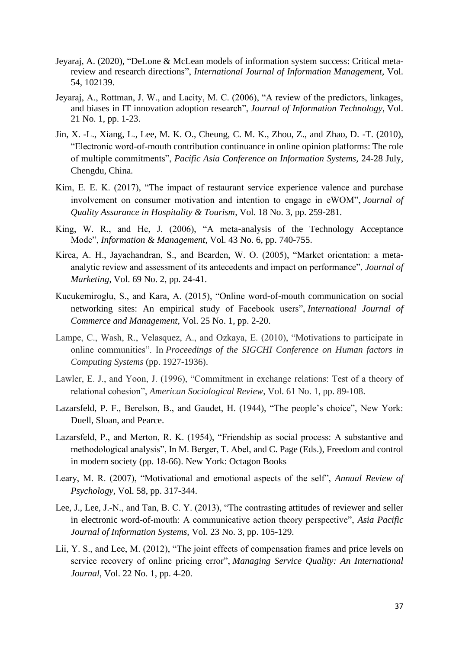- Jeyaraj, A. (2020), "DeLone & McLean models of information system success: Critical metareview and research directions", *International Journal of Information Management*, Vol. 54, 102139.
- Jeyaraj, A., Rottman, J. W., and Lacity, M. C. (2006), "A review of the predictors, linkages, and biases in IT innovation adoption research", *Journal of Information Technology*, Vol. 21 No. 1, pp. 1-23.
- Jin, X. -L., Xiang, L., Lee, M. K. O., Cheung, C. M. K., Zhou, Z., and Zhao, D. -T. (2010), "Electronic word-of-mouth contribution continuance in online opinion platforms: The role of multiple commitments", *Pacific Asia Conference on Information Systems,* 24-28 July, Chengdu, China*.*
- Kim, E. E. K. (2017), "The impact of restaurant service experience valence and purchase involvement on consumer motivation and intention to engage in eWOM", *Journal of Quality Assurance in Hospitality & Tourism*, Vol. 18 No. 3, pp. 259-281.
- King, W. R., and He, J. (2006), "A meta-analysis of the Technology Acceptance Mode", *Information & Management*, Vol. 43 No. 6, pp. 740-755.
- Kirca, A. H., Jayachandran, S., and Bearden, W. O. (2005), "Market orientation: a metaanalytic review and assessment of its antecedents and impact on performance", *Journal of Marketing*, Vol. 69 No. 2, pp. 24-41.
- Kucukemiroglu, S., and Kara, A. (2015), "Online word-of-mouth communication on social networking sites: An empirical study of Facebook users", *International Journal of Commerce and Management*, Vol. 25 No. 1, pp. 2-20.
- Lampe, C., Wash, R., Velasquez, A., and Ozkaya, E. (2010), "Motivations to participate in online communities". In *Proceedings of the SIGCHI Conference on Human factors in Computing Systems* (pp. 1927-1936).
- Lawler, E. J., and Yoon, J. (1996), "Commitment in exchange relations: Test of a theory of relational cohesion", *American Sociological Review*, Vol. 61 No. 1, pp. 89-108.
- Lazarsfeld, P. F., Berelson, B., and Gaudet, H. (1944), "The people's choice", New York: Duell, Sloan, and Pearce.
- Lazarsfeld, P., and Merton, R. K. (1954), "Friendship as social process: A substantive and methodological analysis", In M. Berger, T. Abel, and C. Page (Eds.), Freedom and control in modern society (pp. 18-66). New York: Octagon Books
- Leary, M. R. (2007), "Motivational and emotional aspects of the self", *Annual Review of Psychology*, Vol. 58, pp. 317-344.
- Lee, J., Lee, J.-N., and Tan, B. C. Y. (2013), "The contrasting attitudes of reviewer and seller in electronic word-of-mouth: A communicative action theory perspective", *Asia Pacific Journal of Information Systems,* Vol. 23 No. 3, pp. 105-129.
- Lii, Y. S., and Lee, M. (2012), "The joint effects of compensation frames and price levels on service recovery of online pricing error", *Managing Service Quality: An International Journal*, Vol. 22 No. 1, pp. 4-20.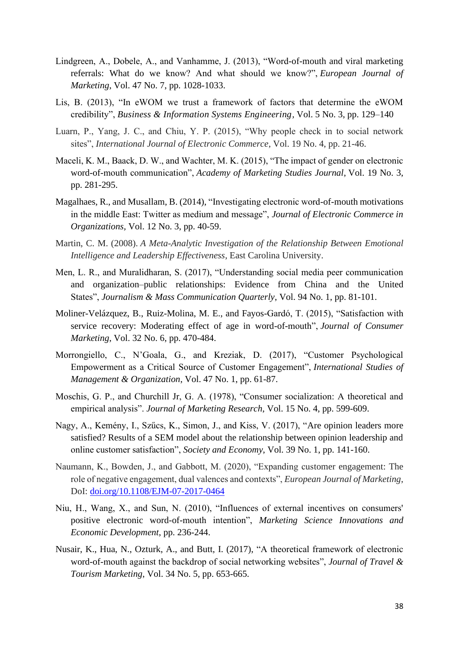- Lindgreen, A., Dobele, A., and Vanhamme, J. (2013), "Word-of-mouth and viral marketing referrals: What do we know? And what should we know?", *European Journal of Marketing*, Vol. 47 No. 7, pp. 1028-1033.
- Lis, B. (2013), "In eWOM we trust a framework of factors that determine the eWOM credibility", *[Business & Information Systems Engineering,](https://link.springer.com/journal/12599)* Vol. 5 No. 3, pp. 129–140
- Luarn, P., Yang, J. C., and Chiu, Y. P. (2015), "Why people check in to social network sites", *International Journal of Electronic Commerce*, Vol. 19 No. 4, pp. 21-46.
- Maceli, K. M., Baack, D. W., and Wachter, M. K. (2015), "The impact of gender on electronic word-of-mouth communication", *Academy of Marketing Studies Journal*, Vol. 19 No. 3, pp. 281-295.
- Magalhaes, R., and Musallam, B. (2014), "Investigating electronic word-of-mouth motivations in the middle East: Twitter as medium and message", *Journal of Electronic Commerce in Organizations,* Vol. 12 No. 3, pp. 40-59.
- Martin, C. M. (2008). *A Meta-Analytic Investigation of the Relationship Between Emotional Intelligence and Leadership Effectiveness*, East Carolina University.
- Men, L. R., and Muralidharan, S. (2017), "Understanding social media peer communication and organization–public relationships: Evidence from China and the United States", *Journalism & Mass Communication Quarterly*, Vol. 94 No. 1, pp. 81-101.
- Moliner-Velázquez, B., Ruiz-Molina, M. E., and Fayos-Gardó, T. (2015), "Satisfaction with service recovery: Moderating effect of age in word-of-mouth", *Journal of Consumer Marketing*, Vol. 32 No. 6, pp. 470-484.
- Morrongiello, C., N'Goala, G., and Kreziak, D. (2017), "Customer Psychological Empowerment as a Critical Source of Customer Engagement", *International Studies of Management & Organization*, Vol. 47 No. 1, pp. 61-87.
- Moschis, G. P., and Churchill Jr, G. A. (1978), "Consumer socialization: A theoretical and empirical analysis". *Journal of Marketing Research*, Vol. 15 No. 4, pp. 599-609.
- Nagy, A., Kemény, I., Szűcs, K., Simon, J., and Kiss, V. (2017), "Are opinion leaders more satisfied? Results of a SEM model about the relationship between opinion leadership and online customer satisfaction", *Society and Economy*, Vol. 39 No. 1, pp. 141-160.
- Naumann, K., Bowden, J., and Gabbott, M. (2020), "Expanding customer engagement: The role of negative engagement, dual valences and contexts", *European Journal of Marketing*, DoI: [doi.org/10.1108/EJM-07-2017-0464](https://doi.org/10.1108/EJM-07-2017-0464)
- Niu, H., Wang, X., and Sun, N. (2010), "Influences of external incentives on consumers' positive electronic word-of-mouth intention", *Marketing Science Innovations and Economic Development*, pp. 236-244.
- Nusair, K., Hua, N., Ozturk, A., and Butt, I. (2017), "A theoretical framework of electronic word-of-mouth against the backdrop of social networking websites", *Journal of Travel & Tourism Marketing*, Vol. 34 No. 5, pp. 653-665.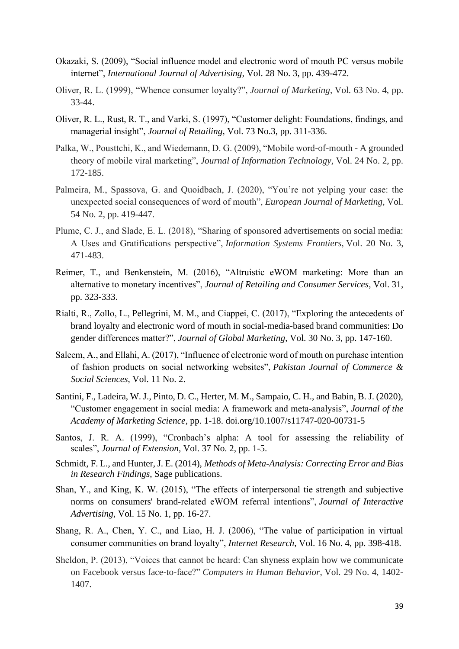- Okazaki, S. (2009), "Social influence model and electronic word of mouth PC versus mobile internet", *International Journal of Advertising,* Vol. 28 No. 3, pp. 439-472.
- Oliver, R. L. (1999), "Whence consumer loyalty?", *Journal of Marketing*, Vol. 63 No. 4, pp. 33-44.
- Oliver, R. L., Rust, R. T., and Varki, S. (1997), "Customer delight: Foundations, findings, and managerial insight", *Journal of Retailing*, Vol. 73 No.3, pp. 311-336.
- Palka, W., Pousttchi, K., and Wiedemann, D. G. (2009), "Mobile word-of-mouth A grounded theory of mobile viral marketing", *Journal of Information Technology*, Vol. 24 No. 2, pp. 172-185.
- Palmeira, M., Spassova, G. and Quoidbach, J. (2020), "You're not yelping your case: the unexpected social consequences of word of mouth", *European Journal of Marketing*, Vol. 54 No. 2, pp. 419-447.
- Plume, C. J., and Slade, E. L. (2018), "Sharing of sponsored advertisements on social media: A Uses and Gratifications perspective", *Information Systems Frontiers*, Vol. 20 No. 3, 471-483.
- Reimer, T., and Benkenstein, M. (2016), "Altruistic eWOM marketing: More than an alternative to monetary incentives", *Journal of Retailing and Consumer Services*, Vol. 31, pp. 323-333.
- Rialti, R., Zollo, L., Pellegrini, M. M., and Ciappei, C. (2017), "Exploring the antecedents of brand loyalty and electronic word of mouth in social-media-based brand communities: Do gender differences matter?", *Journal of Global Marketing*, Vol. 30 No. 3, pp. 147-160.
- Saleem, A., and Ellahi, A. (2017), "Influence of electronic word of mouth on purchase intention of fashion products on social networking websites", *Pakistan Journal of Commerce & Social Sciences*, Vol. 11 No. 2.
- Santini, F., Ladeira, W. J., Pinto, D. C., Herter, M. M., Sampaio, C. H., and Babin, B. J. (2020), "Customer engagement in social media: A framework and meta-analysis", *Journal of the Academy of Marketing Science*, pp. 1-18. doi.org/10.1007/s11747-020-00731-5
- Santos, J. R. A. (1999), "Cronbach's alpha: A tool for assessing the reliability of scales", *Journal of Extension*, Vol. 37 No. 2, pp. 1-5.
- Schmidt, F. L., and Hunter, J. E. (2014), *Methods of Meta-Analysis: Correcting Error and Bias in Research Findings*, Sage publications.
- Shan, Y., and King, K. W. (2015), "The effects of interpersonal tie strength and subjective norms on consumers' brand-related eWOM referral intentions", *Journal of Interactive Advertising*, Vol. 15 No. 1, pp. 16-27.
- Shang, R. A., Chen, Y. C., and Liao, H. J. (2006), "The value of participation in virtual consumer communities on brand loyalty", *Internet Research*, Vol. 16 No. 4, pp. 398-418.
- Sheldon, P. (2013), "Voices that cannot be heard: Can shyness explain how we communicate on Facebook versus face-to-face?" *Computers in Human Behavior*, Vol. 29 No. 4, 1402- 1407.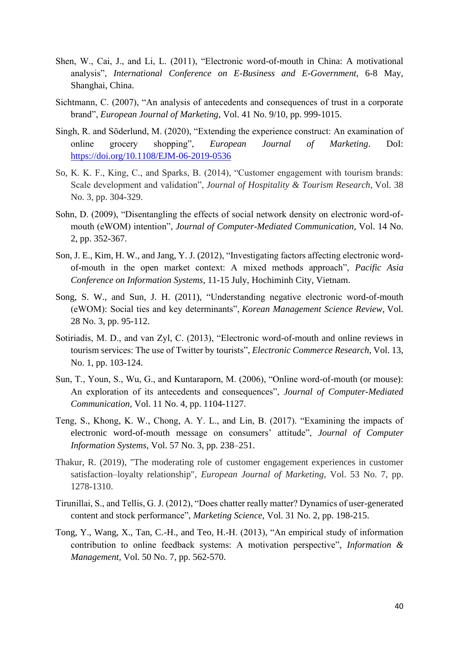- Shen, W., Cai, J., and Li, L. (2011), "Electronic word-of-mouth in China: A motivational analysis", *International Conference on E-Business and E-Government,* 6-8 May, Shanghai, China.
- Sichtmann, C. (2007), "An analysis of antecedents and consequences of trust in a corporate brand", *European Journal of Marketing*, Vol. 41 No. 9/10, pp. 999-1015.
- Singh, R. and Söderlund, M. (2020), "Extending the experience construct: An examination of online grocery shopping", *European Journal of Marketing*. DoI: <https://doi.org/10.1108/EJM-06-2019-0536>
- So, K. K. F., King, C., and Sparks, B. (2014), "Customer engagement with tourism brands: Scale development and validation", *Journal of Hospitality & Tourism Research*, Vol. 38 No. 3, pp. 304-329.
- Sohn, D. (2009), "Disentangling the effects of social network density on electronic word-ofmouth (eWOM) intention", *Journal of Computer-Mediated Communication,* Vol. 14 No. 2, pp. 352-367.
- Son, J. E., Kim, H. W., and Jang, Y. J. (2012), "Investigating factors affecting electronic wordof-mouth in the open market context: A mixed methods approach", *Pacific Asia Conference on Information Systems*, 11-15 July, Hochiminh City, Vietnam.
- Song, S. W., and Sun, J. H. (2011), "Understanding negative electronic word-of-mouth (eWOM): Social ties and key determinants", *Korean Management Science Review*, Vol. 28 No. 3, pp. 95-112.
- Sotiriadis, M. D., and van Zyl, C. (2013), "Electronic word-of-mouth and online reviews in tourism services: The use of Twitter by tourists", *Electronic Commerce Research,* Vol. 13, No. 1, pp. 103-124.
- Sun, T., Youn, S., Wu, G., and Kuntaraporn, M. (2006), "Online word-of-mouth (or mouse): An exploration of its antecedents and consequences", *Journal of Computer-Mediated Communication,* Vol. 11 No. 4, pp. 1104-1127.
- Teng, S., Khong, K. W., Chong, A. Y. L., and Lin, B. (2017). "Examining the impacts of electronic word-of-mouth message on consumers' attitude", *Journal of Computer Information Systems,* Vol. 57 No. 3, pp. 238–251.
- Thakur, R. (2019), "The moderating role of customer engagement experiences in customer satisfaction–loyalty relationship", *European Journal of Marketing*, Vol. 53 No. 7, pp. 1278-1310.
- Tirunillai, S., and Tellis, G. J. (2012), "Does chatter really matter? Dynamics of user-generated content and stock performance", *Marketing Science*, Vol. 31 No. 2, pp. 198-215.
- Tong, Y., Wang, X., Tan, C.-H., and Teo, H.-H. (2013), "An empirical study of information contribution to online feedback systems: A motivation perspective", *Information & Management,* Vol. 50 No. 7, pp. 562-570.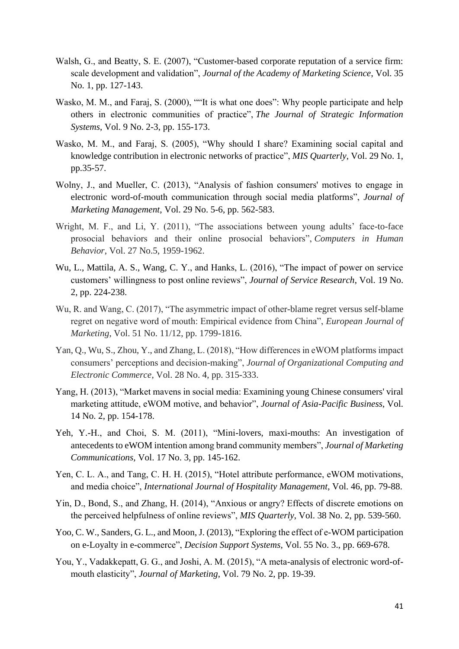- Walsh, G., and Beatty, S. E. (2007), "Customer-based corporate reputation of a service firm: scale development and validation", *Journal of the Academy of Marketing Science*, Vol. 35 No. 1, pp. 127-143.
- Wasko, M. M., and Faraj, S. (2000), ""It is what one does": Why people participate and help others in electronic communities of practice", *The Journal of Strategic Information Systems*, Vol. 9 No. 2-3, pp. 155-173.
- Wasko, M. M., and Faraj, S. (2005), "Why should I share? Examining social capital and knowledge contribution in electronic networks of practice", *MIS Quarterly*, Vol. 29 No. 1, pp.35-57.
- Wolny, J., and Mueller, C. (2013), "Analysis of fashion consumers' motives to engage in electronic word-of-mouth communication through social media platforms", *Journal of Marketing Management,* Vol. 29 No. 5-6, pp. 562-583.
- Wright, M. F., and Li, Y. (2011), "The associations between young adults' face-to-face prosocial behaviors and their online prosocial behaviors", *Computers in Human Behavior*, Vol. 27 No.5, 1959-1962.
- Wu, L., Mattila, A. S., Wang, C. Y., and Hanks, L. (2016), "The impact of power on service customers' willingness to post online reviews", *Journal of Service Research*, Vol. 19 No. 2, pp. 224-238.
- Wu, R. and Wang, C. (2017), "The asymmetric impact of other-blame regret versus self-blame regret on negative word of mouth: Empirical evidence from China", *European Journal of Marketing*, Vol. 51 No. 11/12, pp. 1799-1816.
- Yan, Q., Wu, S., Zhou, Y., and Zhang, L. (2018), "How differences in eWOM platforms impact consumers' perceptions and decision-making", *Journal of Organizational Computing and Electronic Commerce*, Vol. 28 No. 4, pp. 315-333.
- Yang, H. (2013), "Market mavens in social media: Examining young Chinese consumers' viral marketing attitude, eWOM motive, and behavior", *Journal of Asia-Pacific Business*, Vol. 14 No. 2, pp. 154-178.
- Yeh, Y.-H., and Choi, S. M. (2011), "Mini-lovers, maxi-mouths: An investigation of antecedents to eWOM intention among brand community members", *Journal of Marketing Communications,* Vol. 17 No. 3, pp. 145-162.
- Yen, C. L. A., and Tang, C. H. H. (2015), "Hotel attribute performance, eWOM motivations, and media choice", *International Journal of Hospitality Management*, Vol. 46, pp. 79-88.
- Yin, D., Bond, S., and Zhang, H. (2014), "Anxious or angry? Effects of discrete emotions on the perceived helpfulness of online reviews", *MIS Quarterly*, Vol. 38 No. 2, pp. 539-560.
- Yoo, C. W., Sanders, G. L., and Moon, J. (2013), "Exploring the effect of e-WOM participation on e-Loyalty in e-commerce", *Decision Support Systems,* Vol. 55 No. 3., pp. 669-678.
- You, Y., Vadakkepatt, G. G., and Joshi, A. M. (2015), "A meta-analysis of electronic word-ofmouth elasticity", *Journal of Marketing*, Vol. 79 No. 2, pp. 19-39.